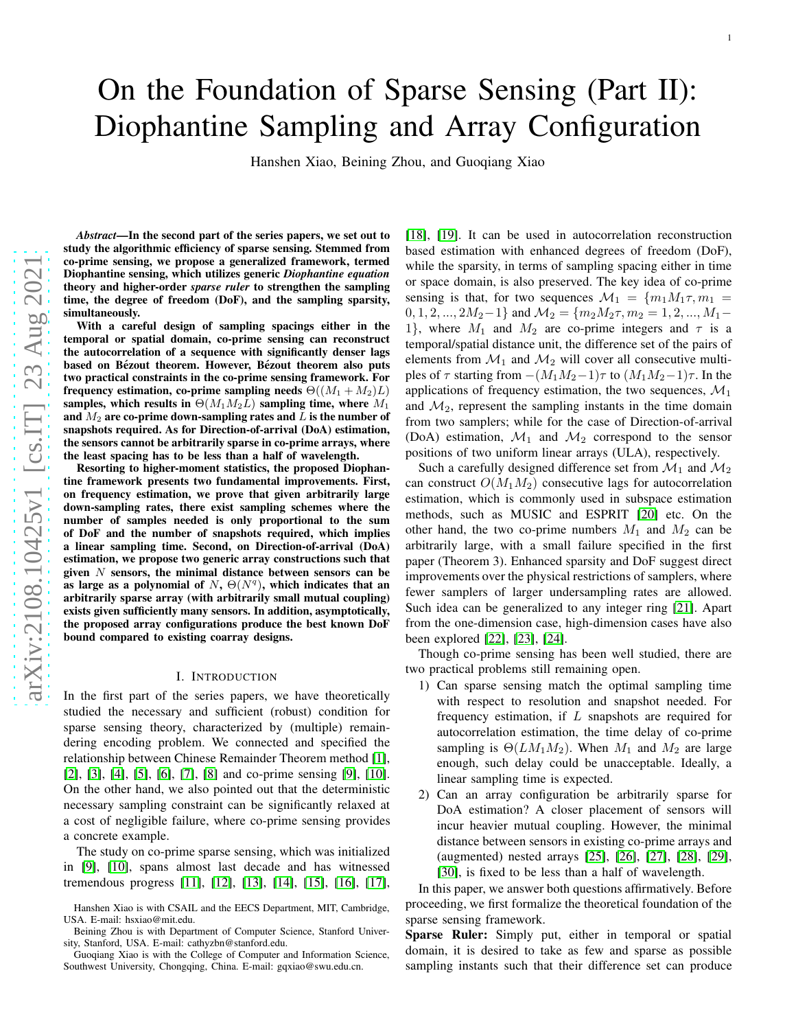# On the Foundation of Sparse Sensing (Part II): Diophantine Sampling and Array Configuration

Hanshen Xiao, Beining Zhou, and Guoqiang Xiao

*Abstract*—In the second part of the series papers, we set out to study the algorithmic efficiency of sparse sensing. Stemmed from co-prime sensing, we propose a generalized framework, termed Diophantine sensing, which utilizes generic *Diophantine equation* theory and higher-order *sparse ruler* to strengthen the sampling time, the degree of freedom (DoF), and the sampling sparsity , simultaneously.

With a careful design of sampling spacings either in the temporal or spatial domain, co-prime sensing can reconstruct the autocorrelation of a sequence with significantly denser lags based on Bézout theorem. However, Bézout theorem also puts two practical constraints in the co-prime sensing framework. For frequency estimation, co-prime sampling needs  $\Theta((M_1 + M_2)L)$ samples, which results in  $\Theta(M_1M_2L)$  sampling time, where  $M_1$ and  $\overline{M_2}$  are co-prime down-sampling rates and  $\overline{L}$  is the number of snapshots required. As for Direction-of-arrival (DoA) estimation, the sensors cannot be arbitrarily sparse in co-prime arrays, where the least spacing has to be less than a half of wavelength.

Resorting to higher-moment statistics, the proposed Diophantine framework presents two fundamental improvements. First, on frequency estimation, we prove that given arbitrarily large down-sampling rates, there exist sampling schemes where th e number of samples needed is only proportional to the sum of DoF and the number of snapshots required, which implies a linear sampling time. Second, on Direction-of-arrival (DoA) estimation, we propose two generic array constructions such that given  $N$  sensors, the minimal distance between sensors can be as large as a polynomial of  $N$ ,  $\Theta(N^q)$ , which indicates that an arbitrarily sparse array (with arbitrarily small mutual coupling) exists given sufficiently many sensors. In addition, asymptotically, the proposed array configurations produce the best known DoF bound compared to existing coarray designs.

## I. INTRODUCTION

In the first part of the series papers, we have theoretically studied the necessary and sufficient (robust) condition for sparse sensing theory, characterized by (multiple) remain dering encoding problem. We connected and specified the relationship between Chinese Remainder Theorem method [\[1\]](#page-12-0) , [\[2\]](#page-12-1), [\[3\]](#page-12-2), [\[4\]](#page-12-3), [\[5\]](#page-12-4), [\[6\]](#page-12-5), [\[7\]](#page-12-6), [\[8\]](#page-12-7) and co-prime sensing [\[9\]](#page-12-8), [\[10\]](#page-12-9). On the other hand, we also pointed out that the deterministic necessary sampling constraint can be significantly relaxed at a cost of negligible failure, where co-prime sensing provides a concrete example.

The study on co-prime sparse sensing, which was initialized in [\[9\]](#page-12-8), [\[10\]](#page-12-9), spans almost last decade and has witnessed tremendous progress [\[11\]](#page-12-10), [\[12\]](#page-12-11), [\[13\]](#page-12-12), [\[14\]](#page-12-13), [\[15\]](#page-12-14), [\[16\]](#page-12-15), [\[17\]](#page-12-16),

[\[18\]](#page-12-17), [\[19\]](#page-12-18). It can be used in autocorrelation reconstruction based estimation with enhanced degrees of freedom (DoF), while the sparsity, in terms of sampling spacing either in time or space domain, is also preserved. The key idea of co-prime sensing is that, for two sequences  $\mathcal{M}_1 = \{m_1M_1\tau, m_1 =$  $0, 1, 2, ..., 2M_2-1$ } and  $\mathcal{M}_2 = \{m_2M_2\tau, m_2 = 1, 2, ..., M_1-\tau\}$ 1, where  $M_1$  and  $M_2$  are co-prime integers and  $\tau$  is a temporal/spatial distance unit, the difference set of the pairs of elements from  $\mathcal{M}_1$  and  $\mathcal{M}_2$  will cover all consecutive multiples of  $\tau$  starting from  $-(M_1M_2-1)\tau$  to  $(M_1M_2-1)\tau$ . In the applications of frequency estimation, the two sequences,  $\mathcal{M}_1$ and  $\mathcal{M}_2$ , represent the sampling instants in the time domain from two samplers; while for the case of Direction-of-arrival (DoA) estimation,  $\mathcal{M}_1$  and  $\mathcal{M}_2$  correspond to the sensor positions of two uniform linear arrays (ULA), respectively .

Such a carefully designed difference set from  $\mathcal{M}_1$  and  $\mathcal{M}_2$ can construct  $O(M_1 M_2)$  consecutive lags for autocorrelation estimation, which is commonly used in subspace estimation methods, such as MUSIC and ESPRIT [\[20\]](#page-12-19) etc. On the other hand, the two co-prime numbers  $M_1$  and  $M_2$  can be arbitrarily large, with a small failure specified in the first paper (Theorem 3). Enhanced sparsity and DoF suggest direct improvements over the physical restrictions of samplers, where fewer samplers of larger undersampling rates are allowed. Such idea can be generalized to any integer ring [\[21\]](#page-12-20). Apart from the one-dimension case, high-dimension cases have als o been explored [\[22\]](#page-12-21), [\[23\]](#page-12-22), [\[24\]](#page-12-23).

Though co-prime sensing has been well studied, there are two practical problems still remaining open.

- 1) Can sparse sensing match the optimal sampling time with respect to resolution and snapshot needed. For frequency estimation, if L snapshots are required for autocorrelation estimation, the time delay of co-prime sampling is  $\Theta(LM_1M_2)$ . When  $M_1$  and  $M_2$  are large enough, such delay could be unacceptable. Ideally, a linear sampling time is expected.
- 2) Can an array configuration be arbitrarily sparse for DoA estimation? A closer placement of sensors will incur heavier mutual coupling. However, the minimal distance between sensors in existing co-prime arrays and (augmented) nested arrays [\[25\]](#page-12-24), [\[26\]](#page-12-25), [\[27\]](#page-12-26), [\[28\]](#page-12-27), [\[29\]](#page-12-28), [\[30\]](#page-12-29), is fixed to be less than a half of wavelength.

In this paper, we answer both questions affirmatively. Befor e proceeding, we first formalize the theoretical foundation of the sparse sensing framework.

Sparse Ruler: Simply put, either in temporal or spatial domain, it is desired to take as few and sparse as possible sampling instants such that their difference set can produce

Hanshen Xiao is with CSAIL and the EECS Department, MIT, Cambridge, USA. E-mail: hsxiao@mit.edu.

Beining Zhou is with Department of Computer Science, Stanford University, Stanford, USA. E-mail: cathyzbn@stanford.edu.

Guoqiang Xiao is with the College of Computer and Information Science, Southwest University, Chongqing, China. E-mail: gqxiao@swu.edu.cn.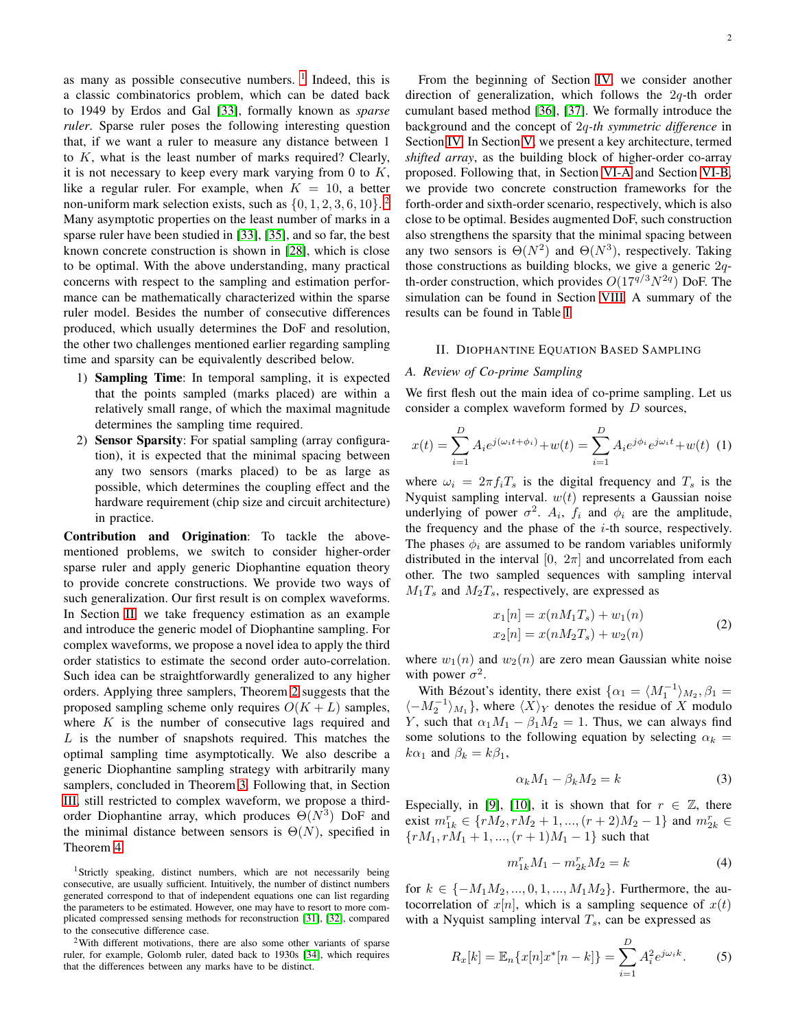as many as possible consecutive numbers.  $1$  Indeed, this is a classic combinatorics problem, which can be dated back to 1949 by Erdos and Gal [\[33\]](#page-12-30), formally known as *sparse ruler*. Sparse ruler poses the following interesting question that, if we want a ruler to measure any distance between 1 to  $K$ , what is the least number of marks required? Clearly, it is not necessary to keep every mark varying from 0 to  $K$ , like a regular ruler. For example, when  $K = 10$ , a better non-uniform mark selection exists, such as  $\{0, 1, 2, 3, 6, 10\}$  $\{0, 1, 2, 3, 6, 10\}$  $\{0, 1, 2, 3, 6, 10\}$ . Many asymptotic properties on the least number of marks in a sparse ruler have been studied in [\[33\]](#page-12-30), [\[35\]](#page-12-31), and so far, the best known concrete construction is shown in [\[28\]](#page-12-27), which is close to be optimal. With the above understanding, many practical concerns with respect to the sampling and estimation performance can be mathematically characterized within the sparse ruler model. Besides the number of consecutive differences produced, which usually determines the DoF and resolution, the other two challenges mentioned earlier regarding sampling time and sparsity can be equivalently described below.

- 1) Sampling Time: In temporal sampling, it is expected that the points sampled (marks placed) are within a relatively small range, of which the maximal magnitude determines the sampling time required.
- 2) Sensor Sparsity: For spatial sampling (array configuration), it is expected that the minimal spacing between any two sensors (marks placed) to be as large as possible, which determines the coupling effect and the hardware requirement (chip size and circuit architecture) in practice.

Contribution and Origination: To tackle the abovementioned problems, we switch to consider higher-order sparse ruler and apply generic Diophantine equation theory to provide concrete constructions. We provide two ways of such generalization. Our first result is on complex waveforms. In Section [II,](#page-1-2) we take frequency estimation as an example and introduce the generic model of Diophantine sampling. For complex waveforms, we propose a novel idea to apply the third order statistics to estimate the second order auto-correlation. Such idea can be straightforwardly generalized to any higher orders. Applying three samplers, Theorem [2](#page-2-0) suggests that the proposed sampling scheme only requires  $O(K + L)$  samples, where  $K$  is the number of consecutive lags required and  $L$  is the number of snapshots required. This matches the optimal sampling time asymptotically. We also describe a generic Diophantine sampling strategy with arbitrarily many samplers, concluded in Theorem [3.](#page-4-0) Following that, in Section [III,](#page-4-1) still restricted to complex waveform, we propose a thirdorder Diophantine array, which produces  $\Theta(N^3)$  DoF and the minimal distance between sensors is  $\Theta(N)$ , specified in Theorem [4.](#page-5-0)

<span id="page-1-0"></span><sup>1</sup>Strictly speaking, distinct numbers, which are not necessarily being consecutive, are usually sufficient. Intuitively, the number of distinct numbers generated correspond to that of independent equations one can list regarding the parameters to be estimated. However, one may have to resort to more complicated compressed sensing methods for reconstruction [\[31\]](#page-12-32), [\[32\]](#page-12-33), compared to the consecutive difference case.

<span id="page-1-1"></span><sup>2</sup>With different motivations, there are also some other variants of sparse ruler, for example, Golomb ruler, dated back to 1930s [\[34\]](#page-12-34), which requires that the differences between any marks have to be distinct.

From the beginning of Section [IV,](#page-5-1) we consider another direction of generalization, which follows the 2q-th order cumulant based method [\[36\]](#page-12-35), [\[37\]](#page-12-36). We formally introduce the background and the concept of 2q*-th symmetric difference* in Section [IV.](#page-5-1) In Section [V,](#page-6-0) we present a key architecture, termed *shifted array*, as the building block of higher-order co-array proposed. Following that, in Section [VI-A](#page-8-0) and Section [VI-B,](#page-8-1) we provide two concrete construction frameworks for the forth-order and sixth-order scenario, respectively, which is also close to be optimal. Besides augmented DoF, such construction also strengthens the sparsity that the minimal spacing between any two sensors is  $\Theta(N^2)$  and  $\Theta(N^3)$ , respectively. Taking those constructions as building blocks, we give a generic  $2q$ th-order construction, which provides  $O(17^{q/3}N^{2q})$  DoF. The simulation can be found in Section [VIII.](#page-10-0) A summary of the results can be found in Table [I.](#page-2-1)

# <span id="page-1-2"></span>II. DIOPHANTINE EQUATION BASED SAMPLING

# *A. Review of Co-prime Sampling*

We first flesh out the main idea of co-prime sampling. Let us consider a complex waveform formed by D sources,

$$
x(t) = \sum_{i=1}^{D} A_i e^{j(\omega_i t + \phi_i)} + w(t) = \sum_{i=1}^{D} A_i e^{j\phi_i} e^{j\omega_i t} + w(t)
$$
 (1)

where  $\omega_i = 2\pi f_i T_s$  is the digital frequency and  $T_s$  is the Nyquist sampling interval.  $w(t)$  represents a Gaussian noise underlying of power  $\sigma^2$ .  $A_i$ ,  $f_i$  and  $\phi_i$  are the amplitude, the frequency and the phase of the  $i$ -th source, respectively. The phases  $\phi_i$  are assumed to be random variables uniformly distributed in the interval [0,  $2\pi$ ] and uncorrelated from each other. The two sampled sequences with sampling interval  $M_1T_s$  and  $M_2T_s$ , respectively, are expressed as

$$
x_1[n] = x(nM_1T_s) + w_1(n)
$$
  
\n
$$
x_2[n] = x(nM_2T_s) + w_2(n)
$$
 (2)

where  $w_1(n)$  and  $w_2(n)$  are zero mean Gaussian white noise with power  $\sigma^2$ .

With Bézout's identity, there exist  $\{\alpha_1 = \langle M_1^{-1} \rangle_{M_2}, \beta_1 =$  $\langle -M_2^{-1} \rangle_{M_1}$ , where  $\langle X \rangle_Y$  denotes the residue of X modulo Y, such that  $\alpha_1 M_1 - \beta_1 M_2 = 1$ . Thus, we can always find some solutions to the following equation by selecting  $\alpha_k =$  $k\alpha_1$  and  $\beta_k = k\beta_1$ ,

$$
\alpha_k M_1 - \beta_k M_2 = k \tag{3}
$$

Especially, in [\[9\]](#page-12-8), [\[10\]](#page-12-9), it is shown that for  $r \in \mathbb{Z}$ , there exist  $m_{1k}^r \in \{rM_2, rM_2 + 1, ..., (r+2)M_2 - 1\}$  and  $m_{2k}^r \in$  ${rM_1, rM_1 + 1, ..., (r + 1)M_1 - 1}$  such that

<span id="page-1-3"></span>
$$
m_{1k}^r M_1 - m_{2k}^r M_2 = k \tag{4}
$$

for  $k \in \{-M_1M_2, ..., 0, 1, ..., M_1M_2\}$ . Furthermore, the autocorrelation of  $x[n]$ , which is a sampling sequence of  $x(t)$ with a Nyquist sampling interval  $T_s$ , can be expressed as

$$
R_x[k] = \mathbb{E}_n\{x[n]x^*[n-k]\} = \sum_{i=1}^D A_i^2 e^{j\omega_i k}.
$$
 (5)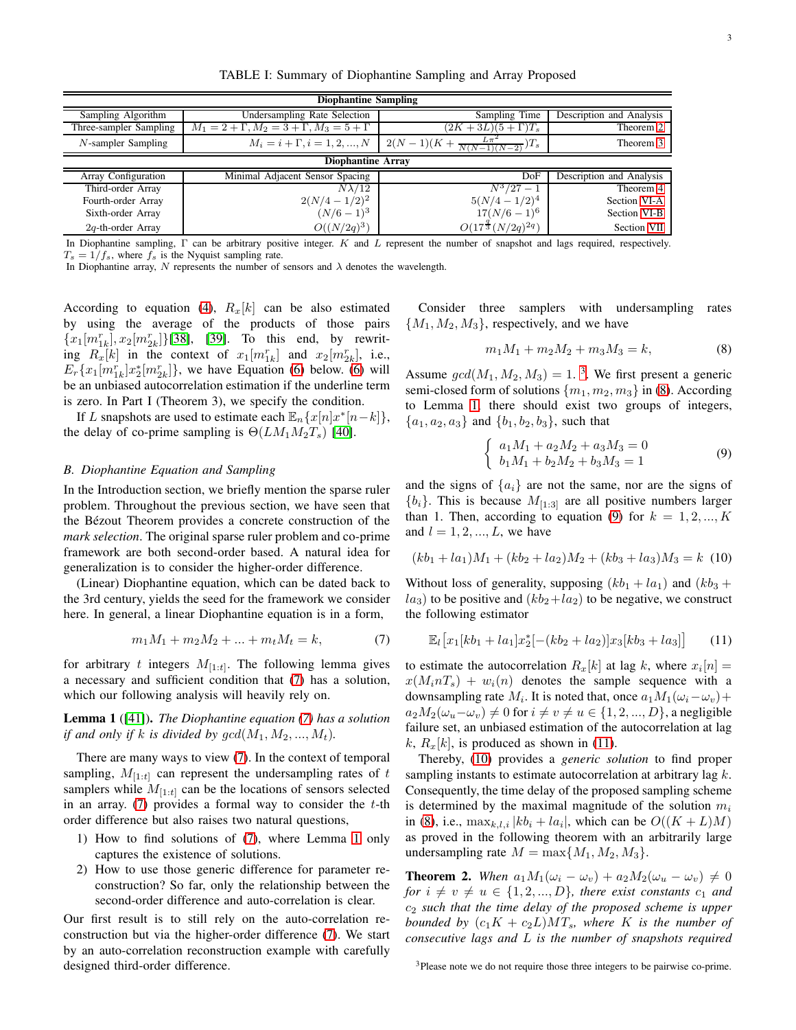TABLE I: Summary of Diophantine Sampling and Array Proposed

<span id="page-2-1"></span>

| <b>Diophantine Sampling</b> |                                                        |                                                       |                          |
|-----------------------------|--------------------------------------------------------|-------------------------------------------------------|--------------------------|
| Sampling Algorithm          | Undersampling Rate Selection                           | Sampling Time                                         | Description and Analysis |
| Three-sampler Sampling      | $M_1 = 2 + \Gamma, M_2 = 3 + \Gamma, M_3 = 5 + \Gamma$ | $(2K+3L)(5+\Gamma)T_s$                                | Theorem 2                |
| $N$ -sampler Sampling       | $M_i = i + \Gamma, i = 1, 2, , N$                      | $L\pi^2$<br>$2(N-1)(K+\frac{L\pi^2}{N(N-1)(N-2)})T_s$ | Theorem 3                |
| <b>Diophantine Array</b>    |                                                        |                                                       |                          |
| Array Configuration         | Minimal Adjacent Sensor Spacing                        | DoF                                                   | Description and Analysis |
| Third-order Array           | $N\lambda/12$                                          | $N^3/27-1$                                            | Theorem 4                |
| Fourth-order Array          | $2(N/4-1/2)^2$                                         | $5(N/4-1/2)^4$                                        | Section VI-A             |
| Sixth-order Array           | $(N/6-1)^3$                                            | $17(N/6-1)^6$                                         | Section VI-B             |
| $2q$ -th-order Array        | $O((N/2q)^3)$                                          | $O(17^{\frac{3}{3}}(N/2q)^{2q})$                      | Section VII              |

In Diophantine sampling, Γ can be arbitrary positive integer. K and L represent the number of snapshot and lags required, respectively.  $T_s = 1/f_s$ , where  $f_s$  is the Nyquist sampling rate.

In Diophantine array, N represents the number of sensors and  $\lambda$  denotes the wavelength.

According to equation [\(4\)](#page-1-3),  $R_x[k]$  can be also estimated by using the average of the products of those pairs  ${x_1[m_{1k}^r], x_2[m_{2k}^r]}$ [\[38\]](#page-12-37), [\[39\]](#page-12-38). To this end, by rewriting  $R_x[k]$  in the context of  $x_1[m_{1k}^r]$  and  $x_2[m_{2k}^r]$ , i.e.,  $E_r\{x_1[m_{1k}^r]x_2^*[m_{2k}^r]\}\,$ , we have Equation [\(6\)](#page-3-0) below. (6) will be an unbiased autocorrelation estimation if the underline term is zero. In Part I (Theorem 3), we specify the condition.

If L snapshots are used to estimate each  $\mathbb{E}_n \{x[n]x^*[n-k]\},$ the delay of co-prime sampling is  $\Theta(LM_1M_2T_s)$  [\[40\]](#page-12-39).

# <span id="page-2-8"></span>*B. Diophantine Equation and Sampling*

In the Introduction section, we briefly mention the sparse ruler problem. Throughout the previous section, we have seen that the Bézout Theorem provides a concrete construction of the *mark selection*. The original sparse ruler problem and co-prime framework are both second-order based. A natural idea for generalization is to consider the higher-order difference.

(Linear) Diophantine equation, which can be dated back to the 3rd century, yields the seed for the framework we consider here. In general, a linear Diophantine equation is in a form,

<span id="page-2-2"></span>
$$
m_1M_1 + m_2M_2 + \dots + m_tM_t = k,\t\t(7)
$$

for arbitrary t integers  $M_{[1:t]}$ . The following lemma gives a necessary and sufficient condition that [\(7\)](#page-2-2) has a solution, which our following analysis will heavily rely on.

<span id="page-2-3"></span>Lemma 1 ([\[41\]](#page-12-40)). *The Diophantine equation [\(7\)](#page-2-2) has a solution if and only if* k *is divided by*  $gcd(M_1, M_2, ..., M_t)$ .

There are many ways to view [\(7\)](#page-2-2). In the context of temporal sampling,  $M_{[1:t]}$  can represent the undersampling rates of t samplers while  $M_{[1:t]}$  can be the locations of sensors selected in an array.  $(7)$  provides a formal way to consider the t-th order difference but also raises two natural questions,

- 1) How to find solutions of [\(7\)](#page-2-2), where Lemma [1](#page-2-3) only captures the existence of solutions.
- 2) How to use those generic difference for parameter reconstruction? So far, only the relationship between the second-order difference and auto-correlation is clear.

Our first result is to still rely on the auto-correlation reconstruction but via the higher-order difference [\(7\)](#page-2-2). We start by an auto-correlation reconstruction example with carefully designed third-order difference.

Consider three samplers with undersampling rates  ${M_1, M_2, M_3}$ , respectively, and we have

<span id="page-2-5"></span>
$$
m_1M_1 + m_2M_2 + m_3M_3 = k,\t\t(8)
$$

Assume  $gcd(M_1, M_2, M_3) = 1$  $gcd(M_1, M_2, M_3) = 1$  $gcd(M_1, M_2, M_3) = 1$ .<sup>3</sup>. We first present a generic semi-closed form of solutions  $\{m_1, m_2, m_3\}$  in [\(8\)](#page-2-5). According to Lemma [1,](#page-2-3) there should exist two groups of integers,  ${a_1, a_2, a_3}$  and  ${b_1, b_2, b_3}$ , such that

<span id="page-2-6"></span>
$$
\begin{cases}\n a_1 M_1 + a_2 M_2 + a_3 M_3 = 0 \\
 b_1 M_1 + b_2 M_2 + b_3 M_3 = 1\n\end{cases}
$$
\n(9)

and the signs of  $\{a_i\}$  are not the same, nor are the signs of  ${b_i}$ . This is because  $M_{[1:3]}$  are all positive numbers larger than 1. Then, according to equation [\(9\)](#page-2-6) for  $k = 1, 2, ..., K$ and  $l = 1, 2, ..., L$ , we have

<span id="page-2-7"></span>
$$
(kb_1 + la_1)M_1 + (kb_2 + la_2)M_2 + (kb_3 + la_3)M_3 = k \tag{10}
$$

Without loss of generality, supposing  $(kb_1 + la_1)$  and  $(kb_3 +$  $la_3$ ) to be positive and  $(kb_2+la_2)$  to be negative, we construct the following estimator

$$
\mathbb{E}_{l}[x_{1}[kb_{1}+la_{1}]x_{2}^{*}[-(kb_{2}+la_{2})]x_{3}[kb_{3}+la_{3}]] \qquad (11)
$$

to estimate the autocorrelation  $R_x[k]$  at lag k, where  $x_i[n] =$  $x(M_i nT_s) + w_i(n)$  denotes the sample sequence with a downsampling rate  $M_i$ . It is noted that, once  $a_1M_1(\omega_i-\omega_v)+$  $a_2M_2(\omega_u-\omega_v) \neq 0$  for  $i \neq v \neq u \in \{1,2,...,D\}$ , a negligible failure set, an unbiased estimation of the autocorrelation at lag k,  $R_x[k]$ , is produced as shown in [\(11\)](#page-3-1).

Thereby, [\(10\)](#page-2-7) provides a *generic solution* to find proper sampling instants to estimate autocorrelation at arbitrary lag k. Consequently, the time delay of the proposed sampling scheme is determined by the maximal magnitude of the solution  $m_i$ in [\(8\)](#page-2-5), i.e.,  $\max_{k,l,i} |kb_i + la_i|$ , which can be  $O((K+L)M)$ as proved in the following theorem with an arbitrarily large undersampling rate  $M = \max\{M_1, M_2, M_3\}.$ 

<span id="page-2-0"></span>**Theorem 2.** When  $a_1M_1(\omega_i - \omega_v) + a_2M_2(\omega_u - \omega_v) \neq 0$ *for*  $i \neq v \neq u \in \{1, 2, ..., D\}$ *, there exist constants*  $c_1$  *and* c<sup>2</sup> *such that the time delay of the proposed scheme is upper bounded by*  $(c_1K + c_2L)MT_s$ *, where* K *is the number of consecutive lags and* L *is the number of snapshots required*

<span id="page-2-4"></span><sup>3</sup>Please note we do not require those three integers to be pairwise co-prime.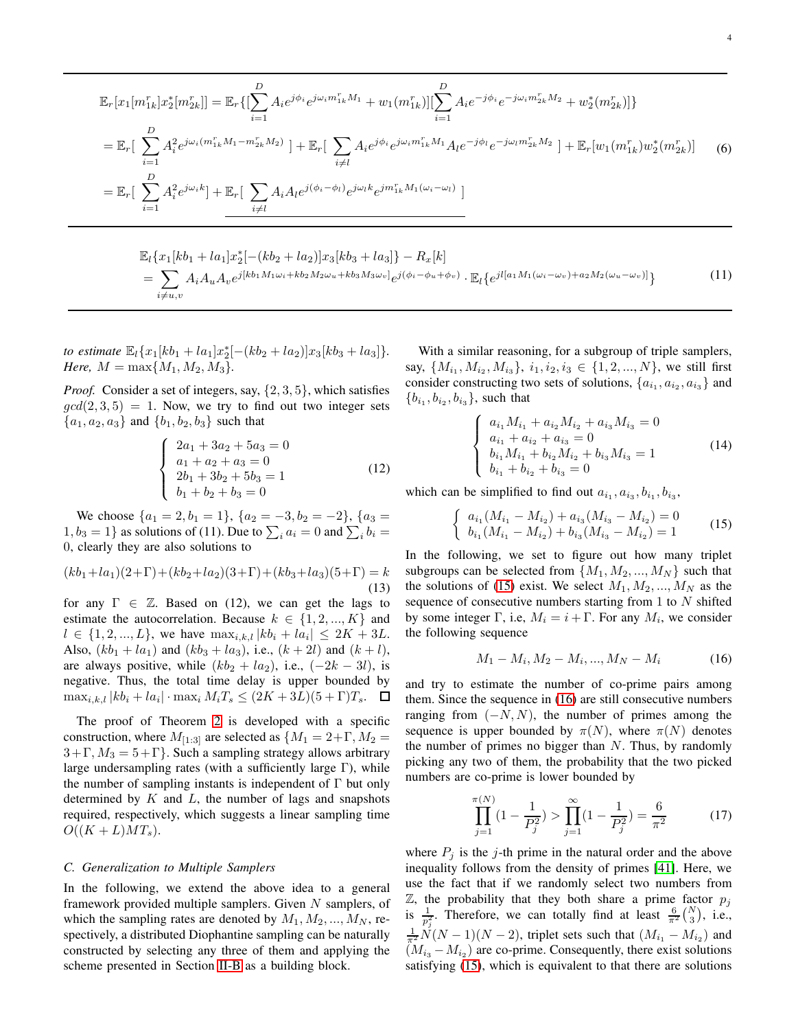<span id="page-3-0"></span>
$$
\mathbb{E}_{r}[x_{1}[m_{1k}^{r}]x_{2}^{*}[m_{2k}^{r}]] = \mathbb{E}_{r}\{[\sum_{i=1}^{D} A_{i}e^{j\phi_{i}}e^{j\omega_{i}m_{1k}^{r}M_{1}} + w_{1}(m_{1k}^{r})][\sum_{i=1}^{D} A_{i}e^{-j\phi_{i}}e^{-j\omega_{i}m_{2k}^{r}M_{2}} + w_{2}^{*}(m_{2k}^{r})]\}
$$
\n
$$
= \mathbb{E}_{r}[\sum_{i=1}^{D} A_{i}^{2}e^{j\omega_{i}(m_{1k}^{r}M_{1} - m_{2k}^{r}M_{2})}] + \mathbb{E}_{r}[\sum_{i \neq l} A_{i}e^{j\phi_{i}}e^{j\omega_{i}m_{1k}^{r}M_{1}}A_{l}e^{-j\phi_{l}}e^{-j\omega_{l}m_{2k}^{r}M_{2}}] + \mathbb{E}_{r}[w_{1}(m_{1k}^{r})w_{2}^{*}(m_{2k}^{r})] \tag{6}
$$
\n
$$
= \mathbb{E}_{r}[\sum_{i=1}^{D} A_{i}^{2}e^{j\omega_{i}k}] + \mathbb{E}_{r}[\sum_{i \neq l} A_{i}A_{l}e^{j(\phi_{i} - \phi_{l})}e^{j\omega_{l}k}e^{j m_{1k}^{r}M_{1}(\omega_{i} - \omega_{l})}]
$$

<span id="page-3-1"></span>
$$
\mathbb{E}_{l}\{x_{1}[kb_{1}+la_{1}]x_{2}^{*}[-(kb_{2}+la_{2})]x_{3}[kb_{3}+la_{3}]\}-R_{x}[k] = \sum_{i\neq u,v}A_{i}A_{u}A_{v}e^{j[kb_{1}M_{1}\omega_{i}+kb_{2}M_{2}\omega_{u}+kb_{3}M_{3}\omega_{v}]}e^{j(\phi_{i}-\phi_{u}+\phi_{v})}\cdot\mathbb{E}_{l}\{e^{jl[a_{1}M_{1}(\omega_{i}-\omega_{v})+a_{2}M_{2}(\omega_{u}-\omega_{v})]}\}\tag{11}
$$

*to estimate*  $\mathbb{E}_{l}\lbrace x_{1}[kb_{1}+la_{1}]x_{2}^{*}[-(kb_{2}+la_{2})]x_{3}[kb_{3}+la_{3}]\rbrace.$ *Here,*  $M = \max\{M_1, M_2, M_3\}.$ 

*Proof.* Consider a set of integers, say,  $\{2, 3, 5\}$ , which satisfies  $gcd(2, 3, 5) = 1$ . Now, we try to find out two integer sets  ${a_1, a_2, a_3}$  and  ${b_1, b_2, b_3}$  such that

$$
\begin{cases}\n2a_1 + 3a_2 + 5a_3 = 0 \\
a_1 + a_2 + a_3 = 0 \\
2b_1 + 3b_2 + 5b_3 = 1 \\
b_1 + b_2 + b_3 = 0\n\end{cases}
$$
\n(12)

We choose  $\{a_1 = 2, b_1 = 1\}$ ,  $\{a_2 = -3, b_2 = -2\}$ ,  $\{a_3 =$  $1, b_3 = 1$  as solutions of (11). Due to  $\sum_i a_i = 0$  and  $\sum_i b_i =$ 0, clearly they are also solutions to

$$
(kb_1 + la_1)(2+\Gamma) + (kb_2 + la_2)(3+\Gamma) + (kb_3 + la_3)(5+\Gamma) = k
$$
\n(13)

for any  $\Gamma \in \mathbb{Z}$ . Based on (12), we can get the lags to estimate the autocorrelation. Because  $k \in \{1, 2, ..., K\}$  and  $l \in \{1, 2, ..., L\}$ , we have  $\max_{i,k,l} |kb_i + la_i| \leq 2K + 3L$ . Also,  $(kb_1 + la_1)$  and  $(kb_3 + la_3)$ , i.e.,  $(k + 2l)$  and  $(k + l)$ , are always positive, while  $(kb_2 + la_2)$ , i.e.,  $(-2k - 3l)$ , is negative. Thus, the total time delay is upper bounded by  $\max_{i,k,l} |kb_i + la_i| \cdot \max_i M_iT_s \leq (2K + 3L)(5 + \Gamma)T_s.$ 

The proof of Theorem [2](#page-2-0) is developed with a specific construction, where  $M_{[1:3]}$  are selected as  $\{M_1 = 2+\Gamma, M_2 =$  $3+\Gamma, M_3 = 5+\Gamma$ . Such a sampling strategy allows arbitrary large undersampling rates (with a sufficiently large  $\Gamma$ ), while the number of sampling instants is independent of  $\Gamma$  but only determined by  $K$  and  $L$ , the number of lags and snapshots required, respectively, which suggests a linear sampling time  $O((K+L)MT_s).$ 

## *C. Generalization to Multiple Samplers*

In the following, we extend the above idea to a general framework provided multiple samplers. Given  $N$  samplers, of which the sampling rates are denoted by  $M_1, M_2, ..., M_N$ , respectively, a distributed Diophantine sampling can be naturally constructed by selecting any three of them and applying the scheme presented in Section [II-B](#page-2-8) as a building block.

With a similar reasoning, for a subgroup of triple samplers, say,  $\{M_{i_1}, M_{i_2}, M_{i_3}\}, \ i_1, i_2, i_3 \in \{1, 2, ..., N\},\$  we still first consider constructing two sets of solutions,  $\{a_{i_1}, a_{i_2}, a_{i_3}\}\$  and  ${b_{i_1}, b_{i_2}, b_{i_3}}$ , such that

<span id="page-3-4"></span>
$$
\begin{cases}\n a_{i_1}M_{i_1} + a_{i_2}M_{i_2} + a_{i_3}M_{i_3} = 0 \\
 a_{i_1} + a_{i_2} + a_{i_3} = 0 \\
 b_{i_1}M_{i_1} + b_{i_2}M_{i_2} + b_{i_3}M_{i_3} = 1 \\
 b_{i_1} + b_{i_2} + b_{i_3} = 0\n\end{cases}
$$
\n(14)

which can be simplified to find out  $a_{i_1}, a_{i_3}, b_{i_1}, b_{i_3}$ ,

<span id="page-3-2"></span>
$$
\begin{cases}\n a_{i_1}(M_{i_1} - M_{i_2}) + a_{i_3}(M_{i_3} - M_{i_2}) = 0 \\
 b_{i_1}(M_{i_1} - M_{i_2}) + b_{i_3}(M_{i_3} - M_{i_2}) = 1\n\end{cases}
$$
\n(15)

In the following, we set to figure out how many triplet subgroups can be selected from  $\{M_1, M_2, ..., M_N\}$  such that the solutions of [\(15\)](#page-3-2) exist. We select  $M_1, M_2, ..., M_N$  as the sequence of consecutive numbers starting from 1 to  $N$  shifted by some integer  $\Gamma$ , i.e,  $M_i = i + \Gamma$ . For any  $M_i$ , we consider the following sequence

<span id="page-3-3"></span>
$$
M_1 - M_i, M_2 - M_i, ..., M_N - M_i \tag{16}
$$

and try to estimate the number of co-prime pairs among them. Since the sequence in [\(16\)](#page-3-3) are still consecutive numbers ranging from  $(-N, N)$ , the number of primes among the sequence is upper bounded by  $\pi(N)$ , where  $\pi(N)$  denotes the number of primes no bigger than  $N$ . Thus, by randomly picking any two of them, the probability that the two picked numbers are co-prime is lower bounded by

$$
\prod_{j=1}^{\pi(N)} (1 - \frac{1}{P_j^2}) > \prod_{j=1}^{\infty} (1 - \frac{1}{P_j^2}) = \frac{6}{\pi^2}
$$
 (17)

where  $P_j$  is the j-th prime in the natural order and the above inequality follows from the density of primes [\[41\]](#page-12-40). Here, we use the fact that if we randomly select two numbers from  $\mathbb Z$ , the probability that they both share a prime factor  $p_j$ is  $\frac{1}{p_j^2}$ . Therefore, we can totally find at least  $\frac{6}{\pi^2} {N \choose 3}$ , i.e.,  $\frac{1}{\pi^2} N(N-1)(N-2)$ , triplet sets such that  $(M_{i_1} - M_{i_2})$  and  $(M_{i_3} - M_{i_2})$  are co-prime. Consequently, there exist solutions satisfying [\(15\)](#page-3-2), which is equivalent to that there are solutions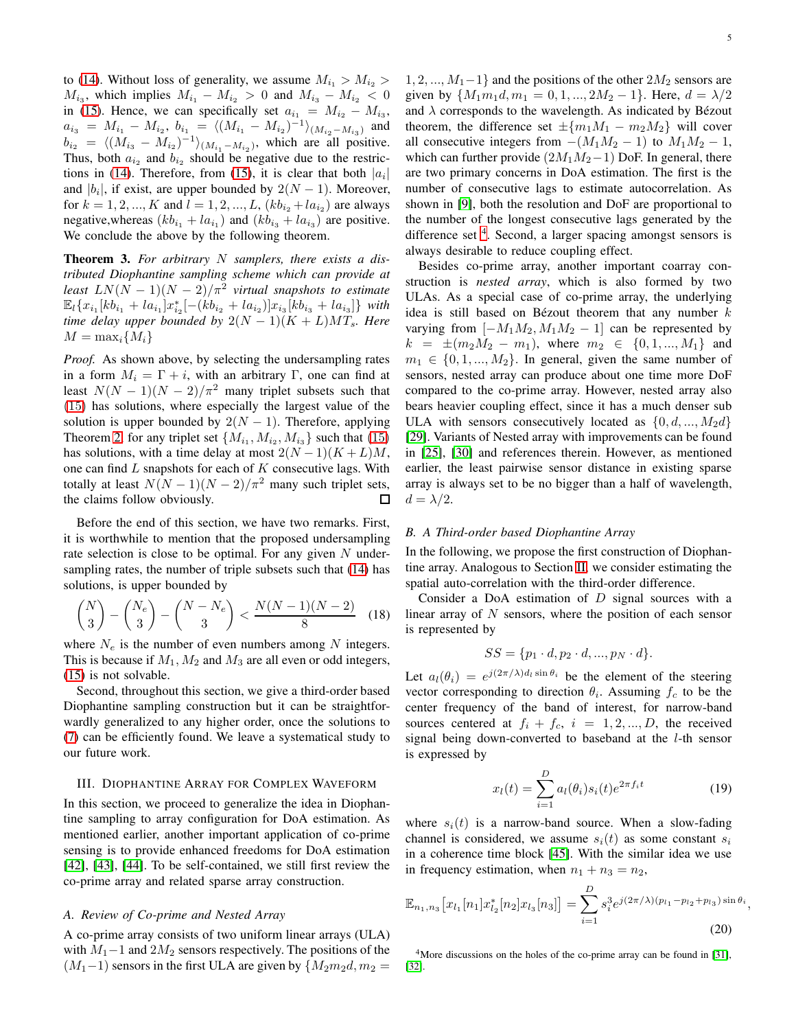to [\(14\)](#page-3-4). Without loss of generality, we assume  $M_{i_1} > M_{i_2} >$  $M_{i_3}$ , which implies  $M_{i_1} - M_{i_2} > 0$  and  $M_{i_3} - M_{i_2} < 0$ in [\(15\)](#page-3-2). Hence, we can specifically set  $a_{i_1} = M_{i_2} - M_{i_3}$ ,  $a_{i_3} = M_{i_1} - M_{i_2}, b_{i_1} = \langle (M_{i_1} - M_{i_2})^{-1} \rangle_{(M_{i_2} - M_{i_3})}$  and  $b_{i_2} = \langle (M_{i_3} - M_{i_2})^{-1} \rangle_{(M_{i_1} - M_{i_2})}$ , which are all positive. Thus, both  $a_{i_2}$  and  $b_{i_2}$  should be negative due to the restric-tions in [\(14\)](#page-3-4). Therefore, from [\(15\)](#page-3-2), it is clear that both  $|a_i|$ and  $|b_i|$ , if exist, are upper bounded by  $2(N-1)$ . Moreover, for  $k = 1, 2, ..., K$  and  $l = 1, 2, ..., L$ ,  $(kb_{i_2} + la_{i_2})$  are always negative, whereas  $(kb_{i_1} + la_{i_1})$  and  $(kb_{i_3} + la_{i_3})$  are positive. We conclude the above by the following theorem.

<span id="page-4-0"></span>Theorem 3. *For arbitrary* N *samplers, there exists a distributed Diophantine sampling scheme which can provide at least*  $LN(N-1)(N-2)/\pi^2$  virtual snapshots to estimate  $\mathbb{E}_{l}\{x_{i_1}[kb_{i_1}+la_{i_1}]x_{i_2}^*[-(kb_{i_2}+la_{i_2})]x_{i_3}[kb_{i_3}+la_{i_3}]\}\$  with *time delay upper bounded by*  $2(N-1)(K+L)MT_s$ *. Here*  $M = \max_i \{M_i\}$ 

*Proof.* As shown above, by selecting the undersampling rates in a form  $M_i = \Gamma + i$ , with an arbitrary Γ, one can find at least  $N(N-1)(N-2)/\pi^2$  many triplet subsets such that [\(15\)](#page-3-2) has solutions, where especially the largest value of the solution is upper bounded by  $2(N - 1)$ . Therefore, applying Theorem [2,](#page-2-0) for any triplet set  $\{M_{i_1}, M_{i_2}, M_{i_3}\}\$  such that  $(15)$ has solutions, with a time delay at most  $2(N-1)(K+L)M$ , one can find  $L$  snapshots for each of  $K$  consecutive lags. With totally at least  $N(N-1)(N-2)/\pi^2$  many such triplet sets, the claims follow obviously. ◻

Before the end of this section, we have two remarks. First, it is worthwhile to mention that the proposed undersampling rate selection is close to be optimal. For any given  $N$  undersampling rates, the number of triple subsets such that [\(14\)](#page-3-4) has solutions, is upper bounded by

$$
\binom{N}{3} - \binom{N_e}{3} - \binom{N - N_e}{3} < \frac{N(N-1)(N-2)}{8} \tag{18}
$$

where  $N_e$  is the number of even numbers among N integers. This is because if  $M_1, M_2$  and  $M_3$  are all even or odd integers, [\(15\)](#page-3-2) is not solvable.

Second, throughout this section, we give a third-order based Diophantine sampling construction but it can be straightforwardly generalized to any higher order, once the solutions to [\(7\)](#page-2-2) can be efficiently found. We leave a systematical study to our future work.

## <span id="page-4-1"></span>III. DIOPHANTINE ARRAY FOR COMPLEX WAVEFORM

In this section, we proceed to generalize the idea in Diophantine sampling to array configuration for DoA estimation. As mentioned earlier, another important application of co-prime sensing is to provide enhanced freedoms for DoA estimation [\[42\]](#page-12-41), [\[43\]](#page-12-42), [\[44\]](#page-12-43). To be self-contained, we still first review the co-prime array and related sparse array construction.

## *A. Review of Co-prime and Nested Array*

A co-prime array consists of two uniform linear arrays (ULA) with  $M_1-1$  and  $2M_2$  sensors respectively. The positions of the  $(M_1-1)$  sensors in the first ULA are given by  ${M_2m_2d, m_2 =$ 

 $1, 2, ..., M_1-1$  and the positions of the other  $2M_2$  sensors are given by  $\{M_1m_1d, m_1 = 0, 1, ..., 2M_2 - 1\}$ . Here,  $d = \lambda/2$ and  $\lambda$  corresponds to the wavelength. As indicated by Bézout theorem, the difference set  $\pm \{m_1M_1 - m_2M_2\}$  will cover all consecutive integers from  $-(M_1M_2 - 1)$  to  $M_1M_2 - 1$ , which can further provide  $(2M_1M_2-1)$  DoF. In general, there are two primary concerns in DoA estimation. The first is the number of consecutive lags to estimate autocorrelation. As shown in [\[9\]](#page-12-8), both the resolution and DoF are proportional to the number of the longest consecutive lags generated by the difference set <sup>[4](#page-4-2)</sup>. Second, a larger spacing amongst sensors is always desirable to reduce coupling effect.

Besides co-prime array, another important coarray construction is *nested array*, which is also formed by two ULAs. As a special case of co-prime array, the underlying idea is still based on Bézout theorem that any number  $k$ varying from  $[-M_1M_2, M_1M_2 - 1]$  can be represented by  $k = \pm (m_2M_2 - m_1)$ , where  $m_2 \in \{0, 1, ..., M_1\}$  and  $m_1 \in \{0, 1, ..., M_2\}$ . In general, given the same number of sensors, nested array can produce about one time more DoF compared to the co-prime array. However, nested array also bears heavier coupling effect, since it has a much denser sub ULA with sensors consecutively located as  $\{0, d, ..., M_2d\}$ [\[29\]](#page-12-28). Variants of Nested array with improvements can be found in [\[25\]](#page-12-24), [\[30\]](#page-12-29) and references therein. However, as mentioned earlier, the least pairwise sensor distance in existing sparse array is always set to be no bigger than a half of wavelength,  $d = \lambda/2$ .

#### *B. A Third-order based Diophantine Array*

In the following, we propose the first construction of Diophantine array. Analogous to Section [II,](#page-1-2) we consider estimating the spatial auto-correlation with the third-order difference.

Consider a DoA estimation of  $D$  signal sources with a linear array of  $N$  sensors, where the position of each sensor is represented by

$$
SS = \{p_1 \cdot d, p_2 \cdot d, ..., p_N \cdot d\}.
$$

Let  $a_l(\theta_i) = e^{j(2\pi/\lambda)d_l \sin \theta_i}$  be the element of the steering vector corresponding to direction  $\theta_i$ . Assuming  $f_c$  to be the center frequency of the band of interest, for narrow-band sources centered at  $f_i + f_c$ ,  $i = 1, 2, ..., D$ , the received signal being down-converted to baseband at the l-th sensor is expressed by

$$
x_l(t) = \sum_{i=1}^{D} a_l(\theta_i) s_i(t) e^{2\pi f_i t} \tag{19}
$$

,

where  $s_i(t)$  is a narrow-band source. When a slow-fading channel is considered, we assume  $s_i(t)$  as some constant  $s_i$ in a coherence time block [\[45\]](#page-12-44). With the similar idea we use in frequency estimation, when  $n_1 + n_3 = n_2$ ,

<span id="page-4-3"></span>
$$
\mathbb{E}_{n_1,n_3}\big[x_{l_1}[n_1]x_{l_2}^*[n_2]x_{l_3}[n_3]\big] = \sum_{i=1}^D s_i^3 e^{j(2\pi/\lambda)(p_{l_1}-p_{l_2}+p_{l_3})\sin\theta_i}
$$
\n(20)

<span id="page-4-2"></span><sup>4</sup>More discussions on the holes of the co-prime array can be found in [\[31\]](#page-12-32), [\[32\]](#page-12-33).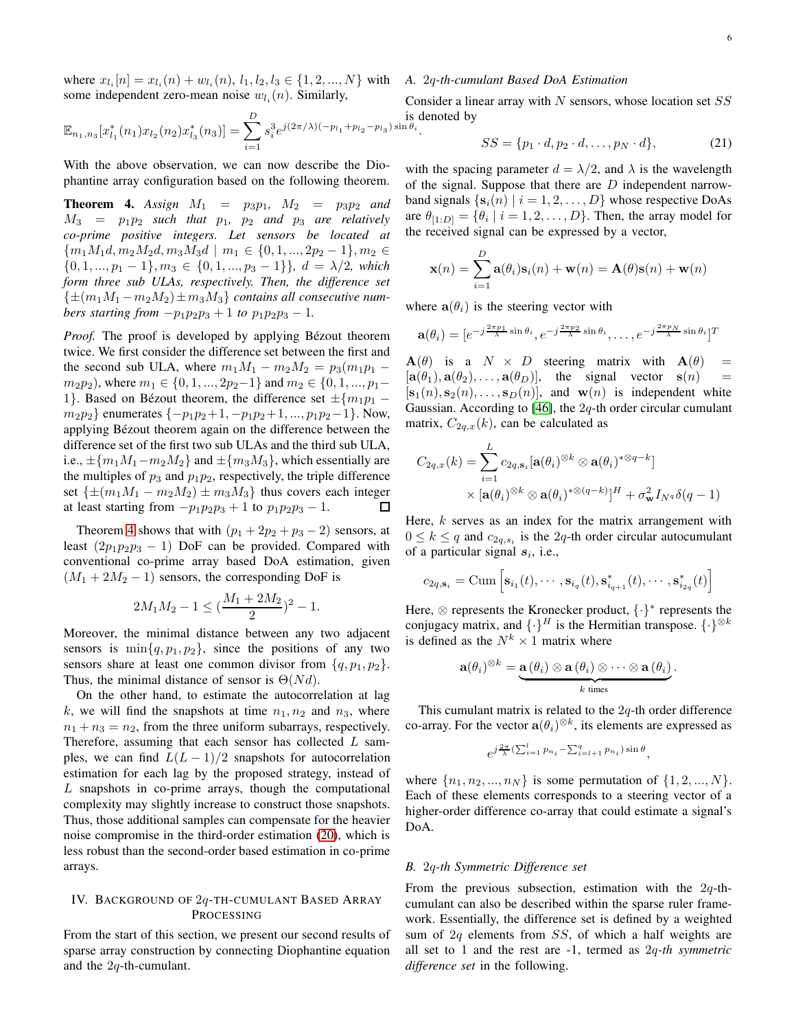where  $x_{l_i}[n] = x_{l_i}(n) + w_{l_i}(n), l_1, l_2, l_3 \in \{1, 2, ..., N\}$  with some independent zero-mean noise  $w_{l_i}(n)$ . Similarly,

$$
\mathbb{E}_{n_1,n_3}[x_{l_1}^*(n_1)x_{l_2}(n_2)x_{l_3}^*(n_3)] = \sum_{i=1}^D s_i^3 e^{j(2\pi/\lambda)(-p_{l_1}+p_{l_2}-p_{l_3})\sin\theta_i}.
$$

With the above observation, we can now describe the Diophantine array configuration based on the following theorem.

<span id="page-5-0"></span>**Theorem 4.** Assign  $M_1 = p_3p_1$ ,  $M_2 = p_3p_2$  and  $M_3$  =  $p_1p_2$  *such that*  $p_1$ ,  $p_2$  *and*  $p_3$  *are relatively co-prime positive integers. Let sensors be located at*  ${m_1M_1d, m_2M_2d, m_3M_3d \mid m_1 \in \{0, 1, ..., 2p_2 - 1\}, m_2 \in$  $\{0, 1, ..., p_1 - 1\}, m_3 \in \{0, 1, ..., p_3 - 1\}\}, d = \lambda/2$ , which *form three sub ULAs, respectively. Then, the difference set*  $\{\pm (m_1M_1 - m_2M_2) \pm m_3M_3\}$  *contains all consecutive numbers starting from*  $-p_1p_2p_3 + 1$  *to*  $p_1p_2p_3 - 1$ *.* 

*Proof.* The proof is developed by applying Bézout theorem twice. We first consider the difference set between the first and the second sub ULA, where  $m_1M_1 - m_2M_2 = p_3(m_1p_1$  $m_2p_2$ ), where  $m_1 \in \{0, 1, ..., 2p_2-1\}$  and  $m_2 \in \{0, 1, ..., p_1-$ 1}. Based on Bézout theorem, the difference set  $\pm \{m_1p_1$  $m_2p_2$ } enumerates  $\{-p_1p_2+1, -p_1p_2+1, ..., p_1p_2-1\}$ . Now, applying Bézout theorem again on the difference between the difference set of the first two sub ULAs and the third sub ULA, i.e.,  $\pm \{m_1M_1-m_2M_2\}$  and  $\pm \{m_3M_3\}$ , which essentially are the multiples of  $p_3$  and  $p_1p_2$ , respectively, the triple difference set  $\{\pm(m_1M_1 - m_2M_2) \pm m_3M_3\}$  thus covers each integer at least starting from  $-p_1p_2p_3 + 1$  to  $p_1p_2p_3 - 1$ .  $\Box$ 

Theorem [4](#page-5-0) shows that with  $(p_1 + 2p_2 + p_3 - 2)$  sensors, at least  $(2p_1p_2p_3 - 1)$  DoF can be provided. Compared with conventional co-prime array based DoA estimation, given  $(M_1 + 2M_2 - 1)$  sensors, the corresponding DoF is

$$
2M_1M_2 - 1 \le \left(\frac{M_1 + 2M_2}{2}\right)^2 - 1.
$$

Moreover, the minimal distance between any two adjacent sensors is  $\min\{q, p_1, p_2\}$ , since the positions of any two sensors share at least one common divisor from  $\{q, p_1, p_2\}.$ Thus, the minimal distance of sensor is  $\Theta(Nd)$ .

On the other hand, to estimate the autocorrelation at lag k, we will find the snapshots at time  $n_1, n_2$  and  $n_3$ , where  $n_1 + n_3 = n_2$ , from the three uniform subarrays, respectively. Therefore, assuming that each sensor has collected  $L$  samples, we can find  $L(L-1)/2$  snapshots for autocorrelation estimation for each lag by the proposed strategy, instead of L snapshots in co-prime arrays, though the computational complexity may slightly increase to construct those snapshots. Thus, those additional samples can compensate for the heavier noise compromise in the third-order estimation [\(20\)](#page-4-3), which is less robust than the second-order based estimation in co-prime arrays.

# <span id="page-5-1"></span>IV. BACKGROUND OF 2q-TH-CUMULANT BASED ARRAY PROCESSING

From the start of this section, we present our second results of sparse array construction by connecting Diophantine equation and the 2q-th-cumulant.

# *A.* 2q*-th-cumulant Based DoA Estimation*

Consider a linear array with  $N$  sensors, whose location set  $SS$ denoted by

$$
SS = \{p_1 \cdot d, p_2 \cdot d, \dots, p_N \cdot d\},\tag{21}
$$

with the spacing parameter  $d = \lambda/2$ , and  $\lambda$  is the wavelength of the signal. Suppose that there are  $D$  independent narrowband signals  $\{s_i(n) | i = 1, 2, \ldots, D\}$  whose respective DoAs are  $\theta_{[1:D]} = \{\theta_i \mid i = 1, 2, \dots, D\}$ . Then, the array model for the received signal can be expressed by a vector,

$$
\mathbf{x}(n) = \sum_{i=1}^{D} \mathbf{a}(\theta_i) \mathbf{s}_i(n) + \mathbf{w}(n) = \mathbf{A}(\theta) \mathbf{s}(n) + \mathbf{w}(n)
$$

where  $a(\theta_i)$  is the steering vector with

$$
\mathbf{a}(\theta_i) = [e^{-j\frac{2\pi p_1}{\lambda}\sin\theta_i}, e^{-j\frac{2\pi p_2}{\lambda}\sin\theta_i}, \dots, e^{-j\frac{2\pi p_N}{\lambda}\sin\theta_i}]^T
$$

 $A(\theta)$  is a  $N \times D$  steering matrix with  $A(\theta)$  =  $[\mathbf{a}(\theta_1), \mathbf{a}(\theta_2), \dots, \mathbf{a}(\theta_D)],$  the signal vector  $\mathbf{s}(n)$  =  $[s_1(n), s_2(n), \ldots, s_D(n)]$ , and  $\mathbf{w}(n)$  is independent white Gaussian. According to [\[46\]](#page-12-45), the  $2q$ -th order circular cumulant matrix,  $C_{2q,x}(k)$ , can be calculated as

$$
C_{2q,x}(k) = \sum_{i=1}^{L} c_{2q,\mathbf{s}_i}[\mathbf{a}(\theta_i)^{\otimes k} \otimes \mathbf{a}(\theta_i)^{* \otimes q-k}] \times [\mathbf{a}(\theta_i)^{\otimes k} \otimes \mathbf{a}(\theta_i)^{* \otimes (q-k)}]^H + \sigma_{\mathbf{w}}^2 I_{N^q} \delta(q-1)
$$

Here,  $k$  serves as an index for the matrix arrangement with  $0 \leq k \leq q$  and  $c_{2q,s_i}$  is the 2q-th order circular autocumulant of a particular signal  $s_i$ , i.e.,

$$
c_{2q,\mathbf{s}_i} = \text{Cum}\left[\mathbf{s}_{i_1}(t),\cdots,\mathbf{s}_{i_q}(t),\mathbf{s}_{i_{q+1}}^*(t),\cdots,\mathbf{s}_{i_{2q}}^*(t)\right]
$$

Here,  $\otimes$  represents the Kronecker product,  $\{\cdot\}^*$  represents the conjugacy matrix, and  $\{\cdot\}^H$  is the Hermitian transpose.  $\{\cdot\}^{\otimes k}$ is defined as the  $N^k \times 1$  matrix where

$$
\mathbf{a}(\theta_i)^{\otimes k} = \underbrace{\mathbf{a}(\theta_i) \otimes \mathbf{a}(\theta_i) \otimes \cdots \otimes \mathbf{a}(\theta_i)}_{k \text{ times}}.
$$

This cumulant matrix is related to the  $2q$ -th order difference co-array. For the vector  $\mathbf{a}(\theta_i)^{\otimes k}$ , its elements are expressed as

$$
e^{j\frac{2\pi}{\lambda}(\sum_{i=1}^l p_{n_i} - \sum_{i=l+1}^q p_{n_i})\sin\theta},
$$

where  $\{n_1, n_2, ..., n_N\}$  is some permutation of  $\{1, 2, ..., N\}$ . Each of these elements corresponds to a steering vector of a higher-order difference co-array that could estimate a signal's DoA.

## *B.* 2q*-th Symmetric Difference set*

From the previous subsection, estimation with the  $2q$ -thcumulant can also be described within the sparse ruler framework. Essentially, the difference set is defined by a weighted sum of 2q elements from SS, of which a half weights are all set to 1 and the rest are -1, termed as 2q*-th symmetric difference set* in the following.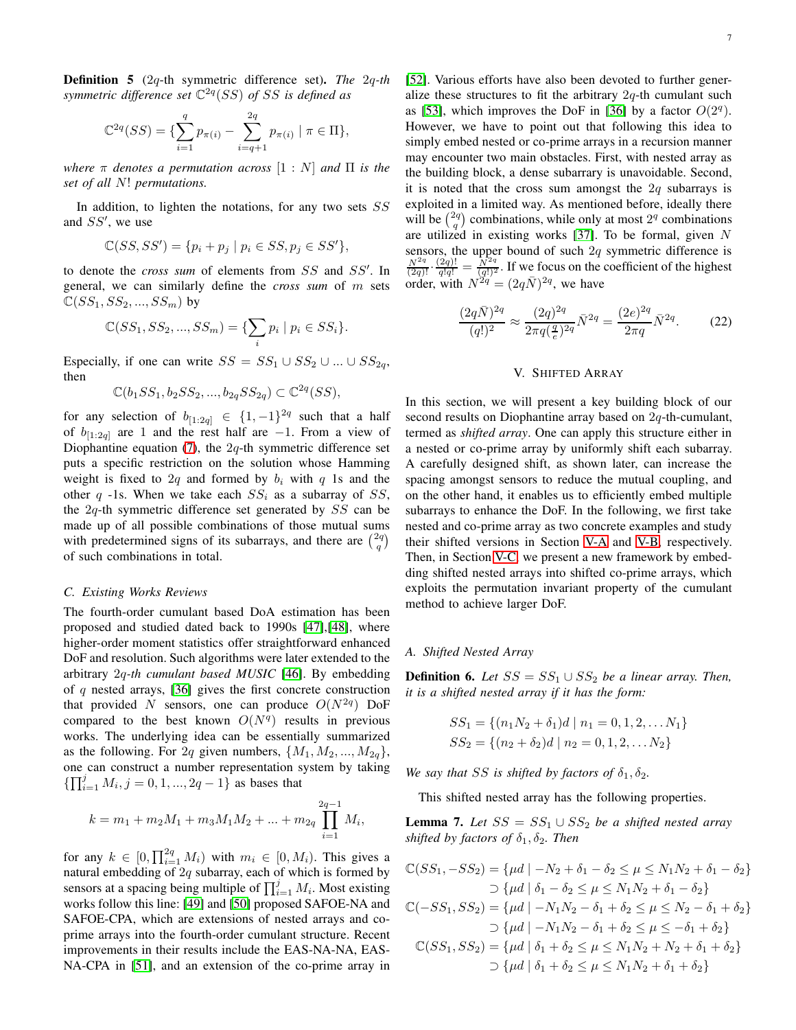Definition 5 (2q-th symmetric difference set). *The* 2q*-th symmetric difference set* C 2q (SS) *of* SS *is defined as*

$$
\mathbb{C}^{2q}(SS) = \{ \sum_{i=1}^{q} p_{\pi(i)} - \sum_{i=q+1}^{2q} p_{\pi(i)} \mid \pi \in \Pi \},
$$

*where* π *denotes a permutation across* [1 : N] *and* Π *is the set of all* N! *permutations.*

In addition, to lighten the notations, for any two sets  $SS$ and SS′ , we use

$$
\mathbb{C}(SS, SS') = \{p_i + p_j \mid p_i \in SS, p_j \in SS'\},\
$$

to denote the *cross sum* of elements from SS and SS′ . In general, we can similarly define the *cross sum* of m sets  $\mathbb{C}(SS_1, SS_2, ..., SS_m)$  by

$$
\mathbb{C}(SS_1, SS_2, ..., SS_m) = \{\sum_i p_i \mid p_i \in SS_i\}.
$$

Especially, if one can write  $SS = SS_1 \cup SS_2 \cup ... \cup SS_{2q}$ , then

$$
\mathbb{C}(b_1SS_1, b_2SS_2, ..., b_{2q}SS_{2q}) \subset \mathbb{C}^{2q}(SS),
$$

for any selection of  $b_{[1:2q]} \in \{1,-1\}^{2q}$  such that a half of  $b_{[1:2q]}$  are 1 and the rest half are -1. From a view of Diophantine equation  $(7)$ , the  $2q$ -th symmetric difference set puts a specific restriction on the solution whose Hamming weight is fixed to 2q and formed by  $b_i$  with q 1s and the other q -1s. When we take each  $SS_i$  as a subarray of SS, the  $2q$ -th symmetric difference set generated by  $SS$  can be made up of all possible combinations of those mutual sums with predetermined signs of its subarrays, and there are  $\binom{2q}{q}$ of such combinations in total.

#### *C. Existing Works Reviews*

The fourth-order cumulant based DoA estimation has been proposed and studied dated back to 1990s [\[47\]](#page-12-46),[\[48\]](#page-13-0), where higher-order moment statistics offer straightforward enhanced DoF and resolution. Such algorithms were later extended to the arbitrary 2q*-th cumulant based MUSIC* [\[46\]](#page-12-45). By embedding of  $q$  nested arrays, [\[36\]](#page-12-35) gives the first concrete construction that provided N sensors, one can produce  $O(N^{2q})$  DoF compared to the best known  $O(N<sup>q</sup>)$  results in previous works. The underlying idea can be essentially summarized as the following. For 2q given numbers,  $\{M_1, M_2, ..., M_{2q}\},\$ one can construct a number representation system by taking  $\{\prod_{i=1}^{j} M_i, j=0,1,...,2q-1\}$  as bases that

$$
k = m_1 + m_2 M_1 + m_3 M_1 M_2 + \dots + m_{2q} \prod_{i=1}^{2q-1} M_i,
$$

for any  $k \in [0, \prod_{i=1}^{2q} M_i)$  with  $m_i \in [0, M_i)$ . This gives a natural embedding of  $2q$  subarray, each of which is formed by sensors at a spacing being multiple of  $\prod_{i=1}^{j} M_i$ . Most existing works follow this line: [\[49\]](#page-13-1) and [\[50\]](#page-13-2) proposed SAFOE-NA and SAFOE-CPA, which are extensions of nested arrays and coprime arrays into the fourth-order cumulant structure. Recent improvements in their results include the EAS-NA-NA, EAS-NA-CPA in [\[51\]](#page-13-3), and an extension of the co-prime array in [\[52\]](#page-13-4). Various efforts have also been devoted to further generalize these structures to fit the arbitrary  $2q$ -th cumulant such as [\[53\]](#page-13-5), which improves the DoF in [\[36\]](#page-12-35) by a factor  $O(2<sup>q</sup>)$ . However, we have to point out that following this idea to simply embed nested or co-prime arrays in a recursion manner may encounter two main obstacles. First, with nested array as the building block, a dense subarrary is unavoidable. Second, it is noted that the cross sum amongst the  $2q$  subarrays is exploited in a limited way. As mentioned before, ideally there will be  $\binom{2q}{q}$  combinations, while only at most  $2^q$  combinations are utilized in existing works  $[37]$ . To be formal, given N sensors, the upper bound of such  $2q$  symmetric difference is  $\frac{N^{2q}}{(2q)!} \cdot \frac{(2q)!}{q!q!} = \frac{N^{2q}}{(q!)^2}$ . If we focus on the coefficient of the highest order, with  $N^{2q} = (2q\bar{N})^{2q}$ , we have

$$
\frac{(2q\bar{N})^{2q}}{(q!)^2} \approx \frac{(2q)^{2q}}{2\pi q \left(\frac{q}{e}\right)^{2q}} \bar{N}^{2q} = \frac{(2e)^{2q}}{2\pi q} \bar{N}^{2q}.
$$
 (22)

## V. SHIFTED ARRAY

<span id="page-6-0"></span>In this section, we will present a key building block of our second results on Diophantine array based on 2q-th-cumulant, termed as *shifted array*. One can apply this structure either in a nested or co-prime array by uniformly shift each subarray. A carefully designed shift, as shown later, can increase the spacing amongst sensors to reduce the mutual coupling, and on the other hand, it enables us to efficiently embed multiple subarrays to enhance the DoF. In the following, we first take nested and co-prime array as two concrete examples and study their shifted versions in Section [V-A](#page-6-1) and [V-B,](#page-7-0) respectively. Then, in Section [V-C,](#page-7-1) we present a new framework by embedding shifted nested arrays into shifted co-prime arrays, which exploits the permutation invariant property of the cumulant method to achieve larger DoF.

## <span id="page-6-1"></span>*A. Shifted Nested Array*

**Definition 6.** *Let*  $SS = SS_1 \cup SS_2$  *be a linear array. Then, it is a shifted nested array if it has the form:*

$$
SS_1 = \{ (n_1N_2 + \delta_1)d \mid n_1 = 0, 1, 2, \dots N_1 \}
$$
  
\n
$$
SS_2 = \{ (n_2 + \delta_2)d \mid n_2 = 0, 1, 2, \dots N_2 \}
$$

*We say that* SS *is shifted by factors of*  $\delta_1$ ,  $\delta_2$ *.* 

This shifted nested array has the following properties.

<span id="page-6-2"></span>**Lemma 7.** *Let*  $SS = SS_1 ∪ SS_2$  *be a shifted nested array shifted by factors of*  $\delta_1$ ,  $\delta_2$ *. Then* 

$$
\mathbb{C}(SS_1, -SS_2) = \{\mu d \mid -N_2 + \delta_1 - \delta_2 \le \mu \le N_1 N_2 + \delta_1 - \delta_2\}
$$
  
\n
$$
\supset \{\mu d \mid \delta_1 - \delta_2 \le \mu \le N_1 N_2 + \delta_1 - \delta_2\}
$$
  
\n
$$
\mathbb{C}(-SS_1, SS_2) = \{\mu d \mid -N_1 N_2 - \delta_1 + \delta_2 \le \mu \le N_2 - \delta_1 + \delta_2\}
$$
  
\n
$$
\supset \{\mu d \mid -N_1 N_2 - \delta_1 + \delta_2 \le \mu \le -\delta_1 + \delta_2\}
$$
  
\n
$$
\mathbb{C}(SS_1, SS_2) = \{\mu d \mid \delta_1 + \delta_2 \le \mu \le N_1 N_2 + N_2 + \delta_1 + \delta_2\}
$$
  
\n
$$
\supset \{\mu d \mid \delta_1 + \delta_2 \le \mu \le N_1 N_2 + \delta_1 + \delta_2\}
$$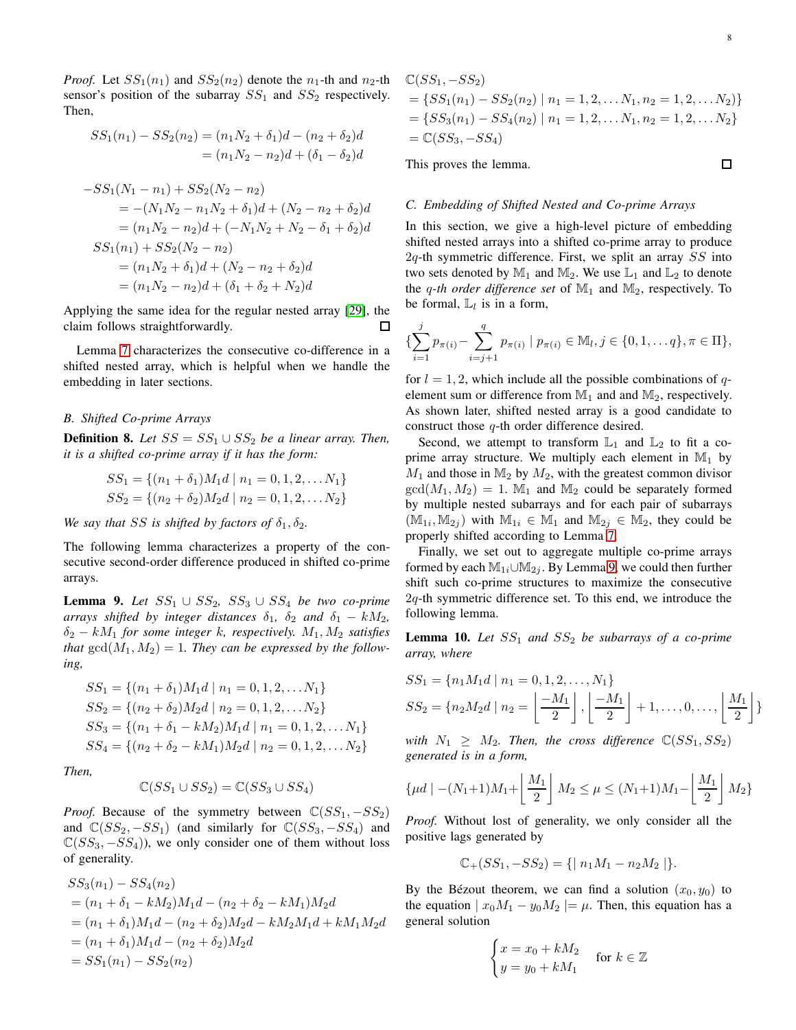*Proof.* Let  $SS_1(n_1)$  and  $SS_2(n_2)$  denote the  $n_1$ -th and  $n_2$ -th sensor's position of the subarray  $SS_1$  and  $SS_2$  respectively. Then,

$$
SS_1(n_1) - SS_2(n_2) = (n_1N_2 + \delta_1)d - (n_2 + \delta_2)d
$$
  

$$
= (n_1N_2 - n_2)d + (\delta_1 - \delta_2)d
$$
  

$$
-SS_1(N_1 - n_1) + SS_2(N_2 - n_2)
$$
  

$$
= -(N_1N_2 - n_1N_2 + \delta_1)d + (N_2 - n_2 + \delta_2)d
$$
  

$$
= (n_1N_2 - n_2)d + (-N_1N_2 + N_2 - \delta_1 + \delta_2)d
$$
  

$$
SS_1(n_1) + SS_2(N_2 - n_2)
$$
  

$$
= (n_1N_2 + \delta_1)d + (N_2 - n_2 + \delta_2)d
$$
  

$$
= (n_1N_2 - n_2)d + (\delta_1 + \delta_2 + N_2)d
$$

Applying the same idea for the regular nested array [\[29\]](#page-12-28), the claim follows straightforwardly. □

Lemma [7](#page-6-2) characterizes the consecutive co-difference in a shifted nested array, which is helpful when we handle the embedding in later sections.

#### <span id="page-7-0"></span>*B. Shifted Co-prime Arrays*

**Definition 8.** *Let*  $SS = SS_1 \cup SS_2$  *be a linear array. Then, it is a shifted co-prime array if it has the form:*

$$
SS_1 = \{(n_1 + \delta_1)M_1d \mid n_1 = 0, 1, 2, \dots N_1\}
$$
  
\n
$$
SS_2 = \{(n_2 + \delta_2)M_2d \mid n_2 = 0, 1, 2, \dots N_2\}
$$

*We say that SS is shifted by factors of*  $\delta_1$ ,  $\delta_2$ *.* 

The following lemma characterizes a property of the consecutive second-order difference produced in shifted co-prime arrays.

<span id="page-7-2"></span>**Lemma 9.** *Let*  $SS_1$  ∪  $SS_2$ ,  $SS_3$  ∪  $SS_4$  *be two co-prime arrays shifted by integer distances*  $\delta_1$ ,  $\delta_2$  *and*  $\delta_1 - kM_2$ , δ<sup>2</sup> − kM<sup>1</sup> *for some integer* k*, respectively.* M1, M<sup>2</sup> *satisfies that*  $gcd(M_1, M_2) = 1$ *. They can be expressed by the following,*

$$
SS_1 = \{(n_1 + \delta_1)M_1d \mid n_1 = 0, 1, 2, \dots N_1\}
$$
  
\n
$$
SS_2 = \{(n_2 + \delta_2)M_2d \mid n_2 = 0, 1, 2, \dots N_2\}
$$
  
\n
$$
SS_3 = \{(n_1 + \delta_1 - kM_2)M_1d \mid n_1 = 0, 1, 2, \dots N_1\}
$$
  
\n
$$
SS_4 = \{(n_2 + \delta_2 - kM_1)M_2d \mid n_2 = 0, 1, 2, \dots N_2\}
$$

*Then,*

$$
\mathbb{C}(SS_1 \cup SS_2) = \mathbb{C}(SS_3 \cup SS_4)
$$

*Proof.* Because of the symmetry between  $\mathbb{C}(SS_1, -SS_2)$ and  $\mathbb{C}(SS_2, -SS_1)$  (and similarly for  $\mathbb{C}(SS_3, -SS_4)$  and  $\mathbb{C}(SS_3, -SS_4)$ , we only consider one of them without loss of generality.

$$
SS_3(n_1) - SS_4(n_2)
$$
  
=  $(n_1 + \delta_1 - kM_2)M_1d - (n_2 + \delta_2 - kM_1)M_2d$   
=  $(n_1 + \delta_1)M_1d - (n_2 + \delta_2)M_2d - kM_2M_1d + kM_1M_2d$   
=  $(n_1 + \delta_1)M_1d - (n_2 + \delta_2)M_2d$   
=  $SS_1(n_1) - SS_2(n_2)$ 

$$
C(SS_1, -SS_2)
$$
  
=  $\{SS_1(n_1) - SS_2(n_2) | n_1 = 1, 2, ..., N_1, n_2 = 1, 2, ..., N_2)\}$   
=  $\{SS_3(n_1) - SS_4(n_2) | n_1 = 1, 2, ..., N_1, n_2 = 1, 2, ..., N_2\}$   
=  $C(SS_3, -SS_4)$ 

This proves the lemma.

## <span id="page-7-1"></span>*C. Embedding of Shifted Nested and Co-prime Arrays*

In this section, we give a high-level picture of embedding shifted nested arrays into a shifted co-prime array to produce  $2q$ -th symmetric difference. First, we split an array  $SS$  into two sets denoted by  $\mathbb{M}_1$  and  $\mathbb{M}_2$ . We use  $\mathbb{L}_1$  and  $\mathbb{L}_2$  to denote the *q-th order difference set* of  $\mathbb{M}_1$  and  $\mathbb{M}_2$ , respectively. To be formal,  $\mathbb{L}_l$  is in a form,

$$
\{\sum_{i=1}^{j} p_{\pi(i)} - \sum_{i=j+1}^{q} p_{\pi(i)} \mid p_{\pi(i)} \in \mathbb{M}_{l}, j \in \{0, 1, \ldots q\}, \pi \in \Pi\},\
$$

for  $l = 1, 2$ , which include all the possible combinations of qelement sum or difference from  $M_1$  and and  $M_2$ , respectively. As shown later, shifted nested array is a good candidate to construct those q-th order difference desired.

Second, we attempt to transform  $\mathbb{L}_1$  and  $\mathbb{L}_2$  to fit a coprime array structure. We multiply each element in  $\mathbb{M}_1$  by  $M_1$  and those in  $M_2$  by  $M_2$ , with the greatest common divisor  $gcd(M_1, M_2) = 1$ . M<sub>1</sub> and M<sub>2</sub> could be separately formed by multiple nested subarrays and for each pair of subarrays  $(\mathbb{M}_{1i}, \mathbb{M}_{2j})$  with  $\mathbb{M}_{1i} \in \mathbb{M}_1$  and  $\mathbb{M}_{2j} \in \mathbb{M}_2$ , they could be properly shifted according to Lemma [7.](#page-6-2)

Finally, we set out to aggregate multiple co-prime arrays formed by each  $M_{1i} \cup M_{2i}$ . By Lemma [9,](#page-7-2) we could then further shift such co-prime structures to maximize the consecutive  $2q$ -th symmetric difference set. To this end, we introduce the following lemma.

<span id="page-7-3"></span>**Lemma 10.** Let  $SS_1$  and  $SS_2$  be subarrays of a co-prime *array, where*

$$
SS_1 = \{n_1M_1d \mid n_1 = 0, 1, 2, ..., N_1\}
$$
  
\n
$$
SS_2 = \{n_2M_2d \mid n_2 = \left\lfloor \frac{-M_1}{2} \right\rfloor, \left\lfloor \frac{-M_1}{2} \right\rfloor + 1, ..., 0, ..., \left\lfloor \frac{M_1}{2} \right\rfloor\}
$$

*with*  $N_1 \geq M_2$ . Then, the cross difference  $\mathbb{C}(SS_1, SS_2)$ *generated is in a form,*

$$
\{\mu d \mid -(N_1+1)M_1 + \left\lfloor \frac{M_1}{2} \right\rfloor M_2 \le \mu \le (N_1+1)M_1 - \left\lfloor \frac{M_1}{2} \right\rfloor M_2\}
$$

*Proof.* Without lost of generality, we only consider all the positive lags generated by

$$
\mathbb{C}_+(SS_1, -SS_2) = \{ | n_1M_1 - n_2M_2 | \}.
$$

By the Bézout theorem, we can find a solution  $(x_0, y_0)$  to the equation  $|x_0M_1 - y_0M_2| = \mu$ . Then, this equation has a general solution

$$
\begin{cases} x = x_0 + kM_2 \\ y = y_0 + kM_1 \end{cases}
$$
 for  $k \in \mathbb{Z}$ 

 $\Box$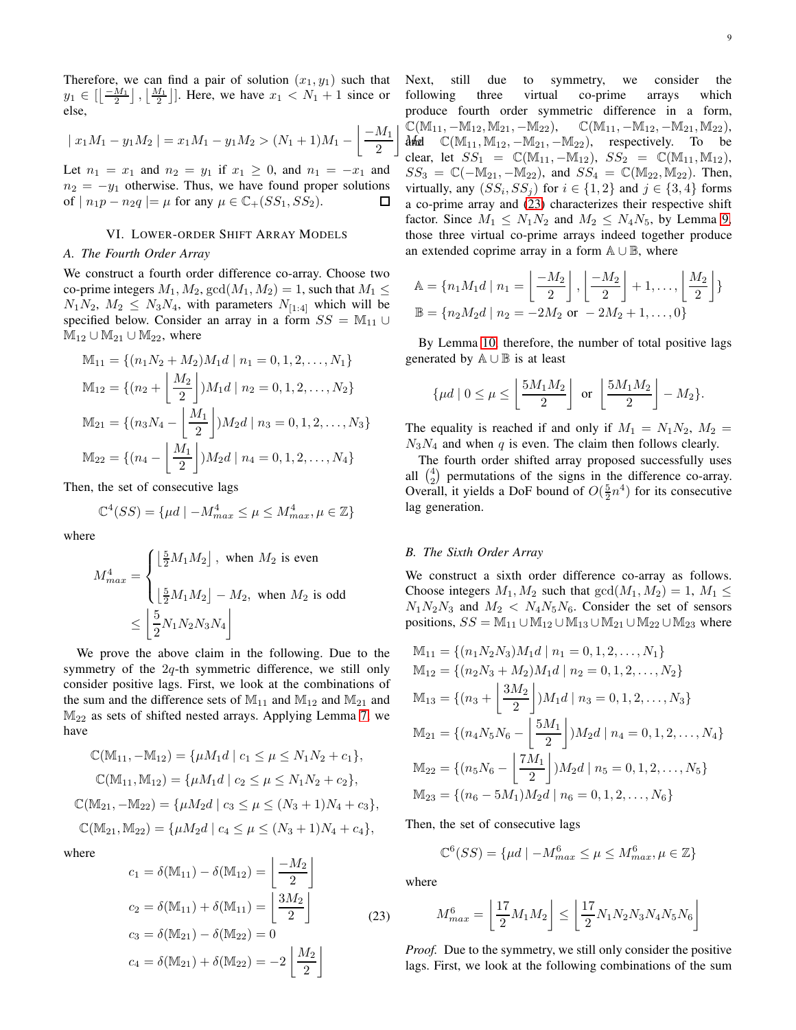Therefore, we can find a pair of solution  $(x_1, y_1)$  such that  $y_1 \in \left[\left\lfloor \frac{-M_1}{2} \right\rfloor, \left\lfloor \frac{M_1}{2} \right\rfloor\right]$ . Here, we have  $x_1 < N_1 + 1$  since or else,

$$
|x_1M_1 - y_1M_2| = x_1M_1 - y_1M_2 > (N_1 + 1)M_1 - \left\lfloor \frac{-M_1}{2} \right\rfloor
$$

Let  $n_1 = x_1$  and  $n_2 = y_1$  if  $x_1 \ge 0$ , and  $n_1 = -x_1$  and  $n_2 = -y_1$  otherwise. Thus, we have found proper solutions of |  $n_1p - n_2q$  |=  $\mu$  for any  $\mu \in \mathbb{C}$  + (SS<sub>1</sub>, SS<sub>2</sub>).  $\Box$ 

# VI. LOWER-ORDER SHIFT ARRAY MODELS

## <span id="page-8-0"></span>*A. The Fourth Order Array*

We construct a fourth order difference co-array. Choose two co-prime integers  $M_1, M_2, \text{gcd}(M_1, M_2) = 1$ , such that  $M_1 \leq$  $N_1N_2$ ,  $M_2 \leq N_3N_4$ , with parameters  $N_{[1:4]}$  which will be specified below. Consider an array in a form  $SS = M_{11} \cup$  $M_{12} \cup M_{21} \cup M_{22}$ , where

$$
\mathbb{M}_{11} = \{(n_1N_2 + M_2)M_1d \mid n_1 = 0, 1, 2, ..., N_1\}
$$
  
\n
$$
\mathbb{M}_{12} = \{(n_2 + \left\lfloor \frac{M_2}{2} \right\rfloor)M_1d \mid n_2 = 0, 1, 2, ..., N_2\}
$$
  
\n
$$
\mathbb{M}_{21} = \{(n_3N_4 - \left\lfloor \frac{M_1}{2} \right\rfloor)M_2d \mid n_3 = 0, 1, 2, ..., N_3\}
$$
  
\n
$$
\mathbb{M}_{22} = \{(n_4 - \left\lfloor \frac{M_1}{2} \right\rfloor)M_2d \mid n_4 = 0, 1, 2, ..., N_4\}
$$

Then, the set of consecutive lags

$$
\mathbb{C}^4(SS) = \{\mu d \mid -M_{max}^4 \le \mu \le M_{max}^4, \mu \in \mathbb{Z}\}\
$$

where

$$
M_{max}^4 = \begin{cases} \left\lfloor \frac{5}{2} M_1 M_2 \right\rfloor, & \text{when } M_2 \text{ is even} \\ \\ \left\lfloor \frac{5}{2} M_1 M_2 \right\rfloor - M_2, & \text{when } M_2 \text{ is odd} \end{cases}
$$

$$
\leq \left\lfloor \frac{5}{2} N_1 N_2 N_3 N_4 \right\rfloor
$$

We prove the above claim in the following. Due to the symmetry of the 2q-th symmetric difference, we still only consider positive lags. First, we look at the combinations of the sum and the difference sets of  $M_{11}$  and  $M_{12}$  and  $M_{21}$  and  $M_{22}$  as sets of shifted nested arrays. Applying Lemma [7,](#page-6-2) we have

$$
\mathbb{C}(\mathbb{M}_{11}, -\mathbb{M}_{12}) = \{\mu M_1 d \mid c_1 \le \mu \le N_1 N_2 + c_1\},
$$
  
\n
$$
\mathbb{C}(\mathbb{M}_{11}, \mathbb{M}_{12}) = \{\mu M_1 d \mid c_2 \le \mu \le N_1 N_2 + c_2\},
$$
  
\n
$$
\mathbb{C}(\mathbb{M}_{21}, -\mathbb{M}_{22}) = \{\mu M_2 d \mid c_3 \le \mu \le (N_3 + 1)N_4 + c_3\},
$$
  
\n
$$
\mathbb{C}(\mathbb{M}_{21}, \mathbb{M}_{22}) = \{\mu M_2 d \mid c_4 \le \mu \le (N_3 + 1)N_4 + c_4\},
$$

where

<span id="page-8-2"></span>
$$
c_1 = \delta(\mathbb{M}_{11}) - \delta(\mathbb{M}_{12}) = \left\lfloor \frac{-M_2}{2} \right\rfloor
$$
  
\n
$$
c_2 = \delta(\mathbb{M}_{11}) + \delta(\mathbb{M}_{11}) = \left\lfloor \frac{3M_2}{2} \right\rfloor
$$
  
\n
$$
c_3 = \delta(\mathbb{M}_{21}) - \delta(\mathbb{M}_{22}) = 0
$$
  
\n
$$
c_4 = \delta(\mathbb{M}_{21}) + \delta(\mathbb{M}_{22}) = -2 \left\lfloor \frac{M_2}{2} \right\rfloor
$$
\n(23)

 $M_{\mathbb{R}}$   $\mathbb{C}(\mathbb{M}_{11}, \mathbb{M}_{12}, -\mathbb{M}_{21}, -\mathbb{M}_{22})$ , respectively. To be Next, still due to symmetry, we consider the following three virtual co-prime arrays which produce fourth order symmetric difference in a form,  $\mathbb{C}(\mathbb{M}_{11}, -\mathbb{M}_{12}, \mathbb{M}_{21}, -\mathbb{M}_{22}), \quad \mathbb{C}(\mathbb{M}_{11}, -\mathbb{M}_{12}, -\mathbb{M}_{21}, \mathbb{M}_{22}),$ clear, let  $SS_1 = \mathbb{C}(\mathbb{M}_{11}, -\mathbb{M}_{12}), SS_2 = \mathbb{C}(\mathbb{M}_{11}, \mathbb{M}_{12}),$  $SS_3 = \mathbb{C}(-\mathbb{M}_{21}, -\mathbb{M}_{22})$ , and  $SS_4 = \mathbb{C}(\mathbb{M}_{22}, \mathbb{M}_{22})$ . Then, virtually, any  $(SS_i, SS_j)$  for  $i \in \{1,2\}$  and  $j \in \{3,4\}$  forms a co-prime array and [\(23\)](#page-8-2) characterizes their respective shift factor. Since  $M_1 \le N_1 N_2$  and  $M_2 \le N_4 N_5$ , by Lemma [9,](#page-7-2) those three virtual co-prime arrays indeed together produce an extended coprime array in a form A ∪ B, where

$$
\mathbb{A} = \{n_1M_1d \mid n_1 = \left\lfloor \frac{-M_2}{2} \right\rfloor, \left\lfloor \frac{-M_2}{2} \right\rfloor + 1, \dots, \left\lfloor \frac{M_2}{2} \right\rfloor \}
$$

$$
\mathbb{B} = \{n_2M_2d \mid n_2 = -2M_2 \text{ or } -2M_2 + 1, \dots, 0\}
$$

By Lemma [10,](#page-7-3) therefore, the number of total positive lags generated by  $A \cup B$  is at least

$$
\{\mu d \mid 0 \le \mu \le \left\lfloor \frac{5M_1M_2}{2} \right\rfloor \text{ or } \left\lfloor \frac{5M_1M_2}{2} \right\rfloor - M_2\}.
$$

The equality is reached if and only if  $M_1 = N_1 N_2$ ,  $M_2 =$  $N_3N_4$  and when q is even. The claim then follows clearly.

The fourth order shifted array proposed successfully uses all  $\binom{4}{2}$  permutations of the signs in the difference co-array. Overall, it yields a DoF bound of  $O(\frac{5}{2}n^4)$  for its consecutive lag generation.

# <span id="page-8-1"></span>*B. The Sixth Order Array*

 $\overline{a}$ 

We construct a sixth order difference co-array as follows. Choose integers  $M_1, M_2$  such that  $gcd(M_1, M_2) = 1, M_1 \leq$  $N_1N_2N_3$  and  $M_2 < N_4N_5N_6$ . Consider the set of sensors positions,  $SS = M_{11} \cup M_{12} \cup M_{13} \cup M_{21} \cup M_{22} \cup M_{23}$  where

$$
M_{11} = \{(n_1N_2N_3)M_1d \mid n_1 = 0, 1, 2, ..., N_1\}
$$
  
\n
$$
M_{12} = \{(n_2N_3 + M_2)M_1d \mid n_2 = 0, 1, 2, ..., N_2\}
$$
  
\n
$$
M_{13} = \{(n_3 + \left\lfloor \frac{3M_2}{2} \right\rfloor)M_1d \mid n_3 = 0, 1, 2, ..., N_3\}
$$
  
\n
$$
M_{21} = \{(n_4N_5N_6 - \left\lfloor \frac{5M_1}{2} \right\rfloor)M_2d \mid n_4 = 0, 1, 2, ..., N_4\}
$$
  
\n
$$
M_{22} = \{(n_5N_6 - \left\lfloor \frac{7M_1}{2} \right\rfloor)M_2d \mid n_5 = 0, 1, 2, ..., N_5\}
$$
  
\n
$$
M_{23} = \{(n_6 - 5M_1)M_2d \mid n_6 = 0, 1, 2, ..., N_6\}
$$

Then, the set of consecutive lags

$$
\mathbb{C}^{6}(SS) = \{\mu d \mid -M_{max}^{6} \le \mu \le M_{max}^{6}, \mu \in \mathbb{Z}\}\
$$

where

$$
M_{max}^6 = \left\lfloor \frac{17}{2} M_1 M_2 \right\rfloor \le \left\lfloor \frac{17}{2} N_1 N_2 N_3 N_4 N_5 N_6 \right\rfloor
$$

*Proof.* Due to the symmetry, we still only consider the positive lags. First, we look at the following combinations of the sum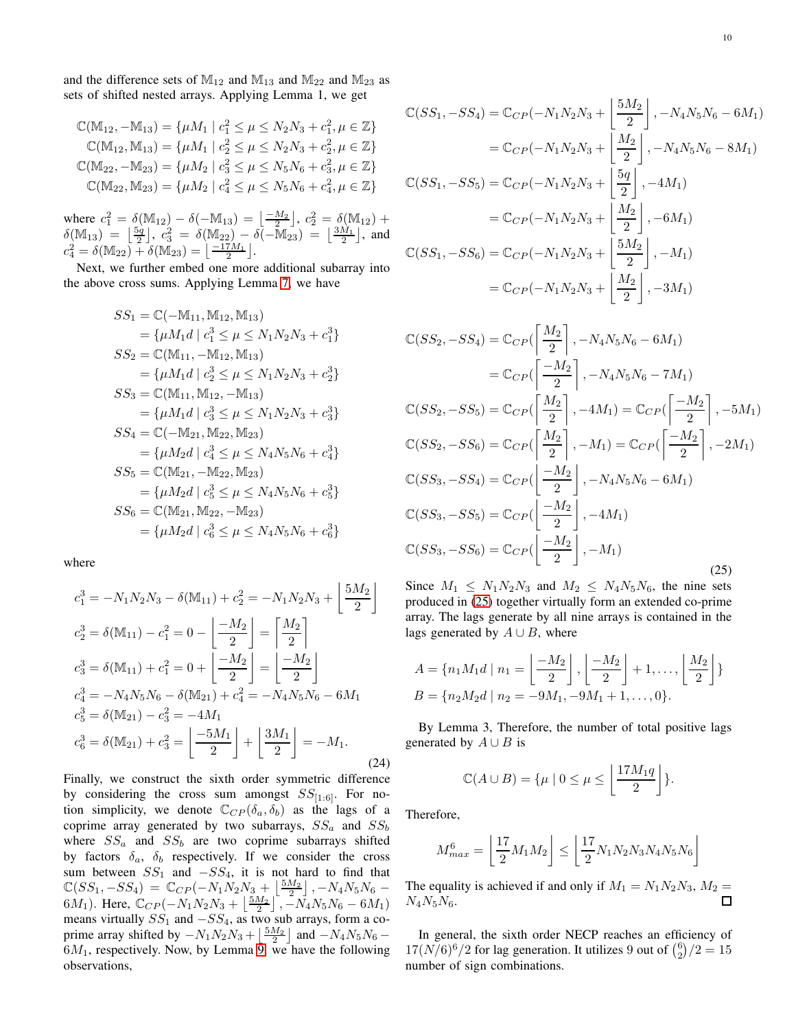and the difference sets of  $\mathbb{M}_{12}$  and  $\mathbb{M}_{13}$  and  $\mathbb{M}_{22}$  and  $\mathbb{M}_{23}$  as sets of shifted nested arrays. Applying Lemma 1, we get

$$
\mathbb{C}(\mathbb{M}_{12}, -\mathbb{M}_{13}) = \{\mu M_1 \mid c_1^2 \le \mu \le N_2 N_3 + c_1^2, \mu \in \mathbb{Z}\}
$$
  

$$
\mathbb{C}(\mathbb{M}_{12}, \mathbb{M}_{13}) = \{\mu M_1 \mid c_2^2 \le \mu \le N_2 N_3 + c_2^2, \mu \in \mathbb{Z}\}
$$
  

$$
\mathbb{C}(\mathbb{M}_{22}, -\mathbb{M}_{23}) = \{\mu M_2 \mid c_3^2 \le \mu \le N_5 N_6 + c_3^2, \mu \in \mathbb{Z}\}
$$
  

$$
\mathbb{C}(\mathbb{M}_{22}, \mathbb{M}_{23}) = \{\mu M_2 \mid c_4^2 \le \mu \le N_5 N_6 + c_4^2, \mu \in \mathbb{Z}\}
$$

where  $c_1^2 = \delta(\mathbb{M}_{12}) - \delta(-\mathbb{M}_{13}) = \left\lfloor \frac{-M_2}{2} \right\rfloor, c_2^2 = \delta(\mathbb{M}_{12}) +$  $\delta(\mathbb{M}_{13}) = \left\lfloor \frac{5q}{2} \right\rfloor, c_3^2 = \delta(\mathbb{M}_{22}) - \delta(-\mathbb{M}_{23}) = \left\lfloor \frac{3M_1}{2} \right\rfloor,$  and  $c_4^2 = \delta(M_{22}) + \delta(M_{23}) = \left[ \frac{-17M_1}{2} \right].$ 

Next, we further embed one more additional subarray into the above cross sums. Applying Lemma [7,](#page-6-2) we have

$$
SS_1 = \mathbb{C}(-\mathbb{M}_{11}, \mathbb{M}_{12}, \mathbb{M}_{13})
$$
  
\n
$$
= {\mu M_1 d \mid c_1^3 \le \mu \le N_1 N_2 N_3 + c_1^3}
$$
  
\n
$$
SS_2 = \mathbb{C}(\mathbb{M}_{11}, -\mathbb{M}_{12}, \mathbb{M}_{13})
$$
  
\n
$$
= {\mu M_1 d \mid c_2^3 \le \mu \le N_1 N_2 N_3 + c_2^3}
$$
  
\n
$$
SS_3 = \mathbb{C}(\mathbb{M}_{11}, \mathbb{M}_{12}, -\mathbb{M}_{13})
$$
  
\n
$$
= {\mu M_1 d \mid c_3^3 \le \mu \le N_1 N_2 N_3 + c_3^3}
$$
  
\n
$$
SS_4 = \mathbb{C}(-\mathbb{M}_{21}, \mathbb{M}_{22}, \mathbb{M}_{23})
$$
  
\n
$$
= {\mu M_2 d \mid c_4^3 \le \mu \le N_4 N_5 N_6 + c_4^3}
$$
  
\n
$$
SS_5 = \mathbb{C}(\mathbb{M}_{21}, -\mathbb{M}_{22}, \mathbb{M}_{23})
$$
  
\n
$$
= {\mu M_2 d \mid c_5^3 \le \mu \le N_4 N_5 N_6 + c_5^3}
$$
  
\n
$$
SS_6 = \mathbb{C}(\mathbb{M}_{21}, \mathbb{M}_{22}, -\mathbb{M}_{23})
$$
  
\n
$$
= {\mu M_2 d \mid c_6^3 \le \mu \le N_4 N_5 N_6 + c_6^3}
$$

where

$$
c_1^3 = -N_1 N_2 N_3 - \delta(\mathbb{M}_{11}) + c_2^2 = -N_1 N_2 N_3 + \left[\frac{5M_2}{2}\right]
$$
  
\n
$$
c_2^3 = \delta(\mathbb{M}_{11}) - c_1^2 = 0 - \left[\frac{-M_2}{2}\right] = \left[\frac{M_2}{2}\right]
$$
  
\n
$$
c_3^3 = \delta(\mathbb{M}_{11}) + c_1^2 = 0 + \left[\frac{-M_2}{2}\right] = \left[\frac{-M_2}{2}\right]
$$
  
\n
$$
c_4^3 = -N_4 N_5 N_6 - \delta(\mathbb{M}_{21}) + c_4^2 = -N_4 N_5 N_6 - 6M_1
$$
  
\n
$$
c_5^3 = \delta(\mathbb{M}_{21}) - c_3^2 = -4M_1
$$
  
\n
$$
c_6^3 = \delta(\mathbb{M}_{21}) + c_3^2 = \left[\frac{-5M_1}{2}\right] + \left[\frac{3M_1}{2}\right] = -M_1.
$$
\n(24)

Finally, we construct the sixth order symmetric difference by considering the cross sum amongst  $SS_{[1:6]}$ . For notion simplicity, we denote  $\mathbb{C}_{CP}(\delta_a, \delta_b)$  as the lags of a coprime array generated by two subarrays,  $SS_a$  and  $SS_b$ where  $SS_a$  and  $SS_b$  are two coprime subarrays shifted by factors  $\delta_a$ ,  $\delta_b$  respectively. If we consider the cross sum between  $SS_1$  and  $-SS_4$ , it is not hard to find that  $\mathbb{C}(SS_1, -SS_4) = \mathbb{C}_{CP}(-N_1N_2N_3 + \lfloor \frac{5M_2}{2} \rfloor, -N_4N_5N_6 -$ 6 $M_1$ ). Here,  $\mathbb{C}_{CP}(-N_1N_2N_3 + \left\lfloor \frac{5M_2}{2} \right\rfloor, -N_4N_5N_6 - 6M_1)$ means virtually  $SS_1$  and  $-SS_4$ , as two sub arrays, form a coprime array shifted by  $-N_1N_2N_3 + \left(\frac{5M_2}{2}\right)$  and  $-N_4N_5N_6 6M_1$ , respectively. Now, by Lemma [9,](#page-7-2) we have the following observations,

$$
\mathbb{C}(SS_1, -SS_4) = \mathbb{C}_{CP}(-N_1N_2N_3 + \left[\frac{5M_2}{2}\right], -N_4N_5N_6 - 6M_1)
$$
  
\n
$$
= \mathbb{C}_{CP}(-N_1N_2N_3 + \left[\frac{M_2}{2}\right], -N_4N_5N_6 - 8M_1)
$$
  
\n
$$
\mathbb{C}(SS_1, -SS_5) = \mathbb{C}_{CP}(-N_1N_2N_3 + \left[\frac{5q}{2}\right], -4M_1)
$$
  
\n
$$
= \mathbb{C}_{CP}(-N_1N_2N_3 + \left[\frac{M_2}{2}\right], -6M_1)
$$
  
\n
$$
\mathbb{C}(SS_1, -SS_6) = \mathbb{C}_{CP}(-N_1N_2N_3 + \left[\frac{5M_2}{2}\right], -M_1)
$$
  
\n
$$
= \mathbb{C}_{CP}(-N_1N_2N_3 + \left[\frac{M_2}{2}\right], -3M_1)
$$

<span id="page-9-0"></span>
$$
\mathbb{C}(SS_2, -SS_4) = \mathbb{C}_{CP}\left(\left[\frac{M_2}{2}\right], -N_4N_5N_6 - 6M_1\right)
$$
  
\n
$$
= \mathbb{C}_{CP}\left(\left[\frac{-M_2}{2}\right], -N_4N_5N_6 - 7M_1\right)
$$
  
\n
$$
\mathbb{C}(SS_2, -SS_5) = \mathbb{C}_{CP}\left(\left[\frac{M_2}{2}\right], -4M_1\right) = \mathbb{C}_{CP}\left(\left[\frac{-M_2}{2}\right], -5M_1\right)
$$
  
\n
$$
\mathbb{C}(SS_2, -SS_6) = \mathbb{C}_{CP}\left(\left[\frac{M_2}{2}\right], -M_1\right) = \mathbb{C}_{CP}\left(\left[\frac{-M_2}{2}\right], -2M_1\right)
$$
  
\n
$$
\mathbb{C}(SS_3, -SS_4) = \mathbb{C}_{CP}\left(\left[\frac{-M_2}{2}\right], -N_4N_5N_6 - 6M_1\right)
$$
  
\n
$$
\mathbb{C}(SS_3, -SS_5) = \mathbb{C}_{CP}\left(\left[\frac{-M_2}{2}\right], -4M_1\right)
$$
  
\n
$$
\mathbb{C}(SS_3, -SS_6) = \mathbb{C}_{CP}\left(\left[\frac{-M_2}{2}\right], -M_1\right)
$$
  
\n(25)

Since  $M_1 \le N_1 N_2 N_3$  and  $M_2 \le N_4 N_5 N_6$ , the nine sets produced in [\(25\)](#page-9-0) together virtually form an extended co-prime array. The lags generate by all nine arrays is contained in the lags generated by  $A \cup B$ , where

$$
A = \{n_1M_1d \mid n_1 = \left\lfloor \frac{-M_2}{2} \right\rfloor, \left\lfloor \frac{-M_2}{2} \right\rfloor + 1, \dots, \left\lfloor \frac{M_2}{2} \right\rfloor \}
$$

$$
B = \{n_2M_2d \mid n_2 = -9M_1, -9M_1 + 1, \dots, 0\}.
$$

By Lemma 3, Therefore, the number of total positive lags generated by  $A \cup B$  is

$$
\mathbb{C}(A \cup B) = \{ \mu \mid 0 \le \mu \le \left\lfloor \frac{17M_1q}{2} \right\rfloor \}.
$$

Therefore,

$$
M_{max}^6 = \left\lfloor \frac{17}{2} M_1 M_2 \right\rfloor \le \left\lfloor \frac{17}{2} N_1 N_2 N_3 N_4 N_5 N_6 \right\rfloor
$$

The equality is achieved if and only if  $M_1 = N_1 N_2 N_3$ ,  $M_2 =$  $N_4N_5N_6.$ П

In general, the sixth order NECP reaches an efficiency of  $17(N/6)^6/2$  for lag generation. It utilizes 9 out of  $\binom{6}{2}/2 = 15$ number of sign combinations.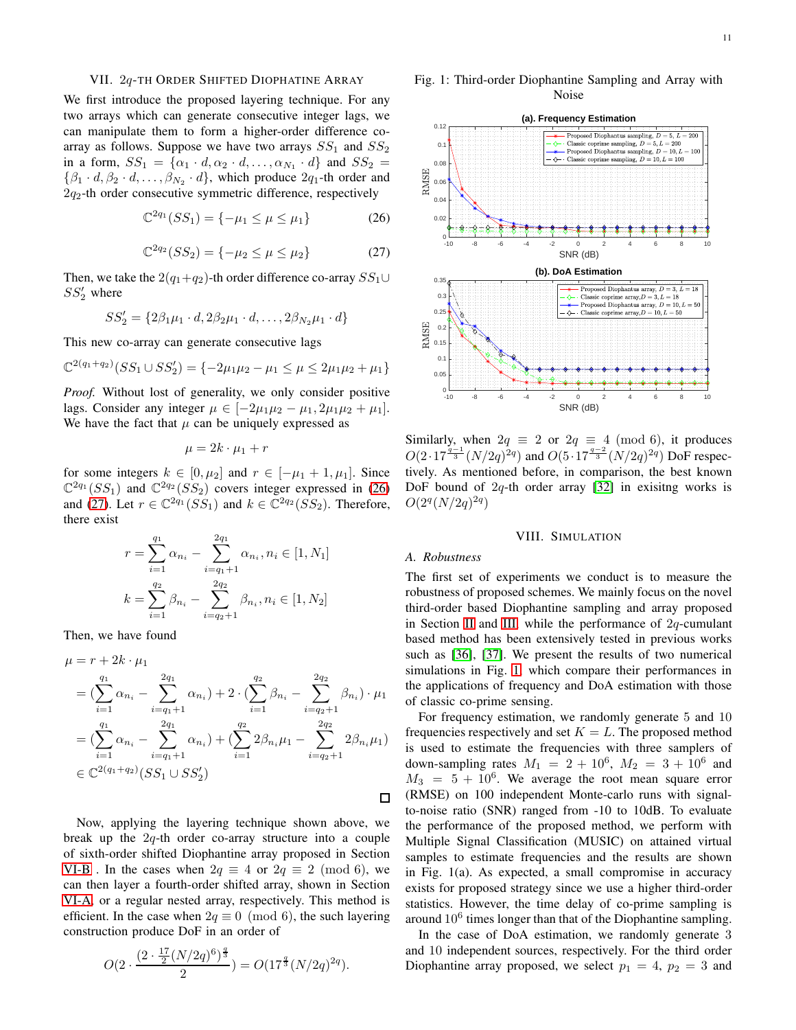# <span id="page-10-1"></span>VII. 2q-TH ORDER SHIFTED DIOPHATINE ARRAY

We first introduce the proposed layering technique. For any two arrays which can generate consecutive integer lags, we can manipulate them to form a higher-order difference coarray as follows. Suppose we have two arrays  $SS_1$  and  $SS_2$ in a form,  $SS_1 = {\alpha_1 \cdot d, \alpha_2 \cdot d, \dots, \alpha_{N_1} \cdot d}$  and  $SS_2 =$  $\{\beta_1 \cdot d, \beta_2 \cdot d, \dots, \beta_{N_2} \cdot d\}$ , which produce  $2q_1$ -th order and  $2q_2$ -th order consecutive symmetric difference, respectively

$$
\mathbb{C}^{2q_1}(SS_1) = \{-\mu_1 \le \mu \le \mu_1\} \tag{26}
$$

$$
\mathbb{C}^{2q_2}(SS_2) = \{-\mu_2 \le \mu \le \mu_2\} \tag{27}
$$

Then, we take the 2( $q_1+q_2$ )-th order difference co-array  $SS_1 \cup$  $SS'_2$  where

$$
SS_2' = \{2\beta_1\mu_1 \cdot d, 2\beta_2\mu_1 \cdot d, \dots, 2\beta_{N_2}\mu_1 \cdot d\}
$$

This new co-array can generate consecutive lags

$$
\mathbb{C}^{2(q_1+q_2)}(SS_1 \cup SS_2') = \{-2\mu_1\mu_2 - \mu_1 \le \mu \le 2\mu_1\mu_2 + \mu_1\}
$$

*Proof.* Without lost of generality, we only consider positive lags. Consider any integer  $\mu \in [-2\mu_1\mu_2 - \mu_1, 2\mu_1\mu_2 + \mu_1]$ . We have the fact that  $\mu$  can be uniquely expressed as

$$
\mu=2k\cdot\mu_1+r
$$

for some integers  $k \in [0, \mu_2]$  and  $r \in [-\mu_1 + 1, \mu_1]$ . Since  $\mathbb{C}^{2q_1}(SS_1)$  and  $\mathbb{C}^{2q_2}(SS_2)$  covers integer expressed in [\(26\)](#page-10-2) and [\(27\)](#page-10-3). Let  $r \in \mathbb{C}^{2q_1}(SS_1)$  and  $k \in \mathbb{C}^{2q_2}(SS_2)$ . Therefore, there exist

$$
r = \sum_{i=1}^{q_1} \alpha_{n_i} - \sum_{i=q_1+1}^{2q_1} \alpha_{n_i}, n_i \in [1, N_1]
$$
  

$$
k = \sum_{i=1}^{q_2} \beta_{n_i} - \sum_{i=q_2+1}^{2q_2} \beta_{n_i}, n_i \in [1, N_2]
$$

Then, we have found

$$
\mu = r + 2k \cdot \mu_1
$$
  
=  $(\sum_{i=1}^{q_1} \alpha_{n_i} - \sum_{i=q_1+1}^{2q_1} \alpha_{n_i}) + 2 \cdot (\sum_{i=1}^{q_2} \beta_{n_i} - \sum_{i=q_2+1}^{2q_2} \beta_{n_i}) \cdot \mu_1$   
=  $(\sum_{i=1}^{q_1} \alpha_{n_i} - \sum_{i=q_1+1}^{2q_1} \alpha_{n_i}) + (\sum_{i=1}^{q_2} 2\beta_{n_i}\mu_1 - \sum_{i=q_2+1}^{2q_2} 2\beta_{n_i}\mu_1)$   
 $\in \mathbb{C}^{2(q_1+q_2)}(SS_1 \cup SS_2')$ 

Now, applying the layering technique shown above, we break up the  $2q$ -th order co-array structure into a couple of sixth-order shifted Diophantine array proposed in Section [VI-B](#page-8-1) . In the cases when  $2q \equiv 4$  or  $2q \equiv 2 \pmod{6}$ , we can then layer a fourth-order shifted array, shown in Section [VI-A,](#page-8-0) or a regular nested array, respectively. This method is efficient. In the case when  $2q \equiv 0 \pmod{6}$ , the such layering construction produce DoF in an order of

$$
O(2 \cdot \frac{(2 \cdot \frac{17}{2} (N/2q)^6)^{\frac{q}{3}}}{2}) = O(17^{\frac{q}{3}} (N/2q)^{2q}).
$$

<span id="page-10-4"></span>Fig. 1: Third-order Diophantine Sampling and Array with Noise

<span id="page-10-3"></span><span id="page-10-2"></span>

Similarly, when  $2q \equiv 2$  or  $2q \equiv 4 \pmod{6}$ , it produces  $O(2\cdot 17^{\frac{q-1}{3}}(N/2q)^{2q})$  and  $O(5\cdot 17^{\frac{q-2}{3}}(N/2q)^{2q})$  DoF respectively. As mentioned before, in comparison, the best known DoF bound of  $2q$ -th order array [\[32\]](#page-12-33) in exisitng works is  $O(2^q(N/2q)^{2q})$ 

# VIII. SIMULATION

# <span id="page-10-0"></span>*A. Robustness*

The first set of experiments we conduct is to measure the robustness of proposed schemes. We mainly focus on the novel third-order based Diophantine sampling and array proposed in Section [II](#page-1-2) and [III,](#page-4-1) while the performance of  $2q$ -cumulant based method has been extensively tested in previous works such as [\[36\]](#page-12-35), [\[37\]](#page-12-36). We present the results of two numerical simulations in Fig. [1,](#page-10-4) which compare their performances in the applications of frequency and DoA estimation with those of classic co-prime sensing.

For frequency estimation, we randomly generate 5 and 10 frequencies respectively and set  $K = L$ . The proposed method is used to estimate the frequencies with three samplers of down-sampling rates  $M_1 = 2 + 10^6$ ,  $M_2 = 3 + 10^6$  and  $M_3 = 5 + 10^6$ . We average the root mean square error (RMSE) on 100 independent Monte-carlo runs with signalto-noise ratio (SNR) ranged from -10 to 10dB. To evaluate the performance of the proposed method, we perform with Multiple Signal Classification (MUSIC) on attained virtual samples to estimate frequencies and the results are shown in Fig. 1(a). As expected, a small compromise in accuracy exists for proposed strategy since we use a higher third-order statistics. However, the time delay of co-prime sampling is around  $10^6$  times longer than that of the Diophantine sampling.

In the case of DoA estimation, we randomly generate 3 and 10 independent sources, respectively. For the third order Diophantine array proposed, we select  $p_1 = 4$ ,  $p_2 = 3$  and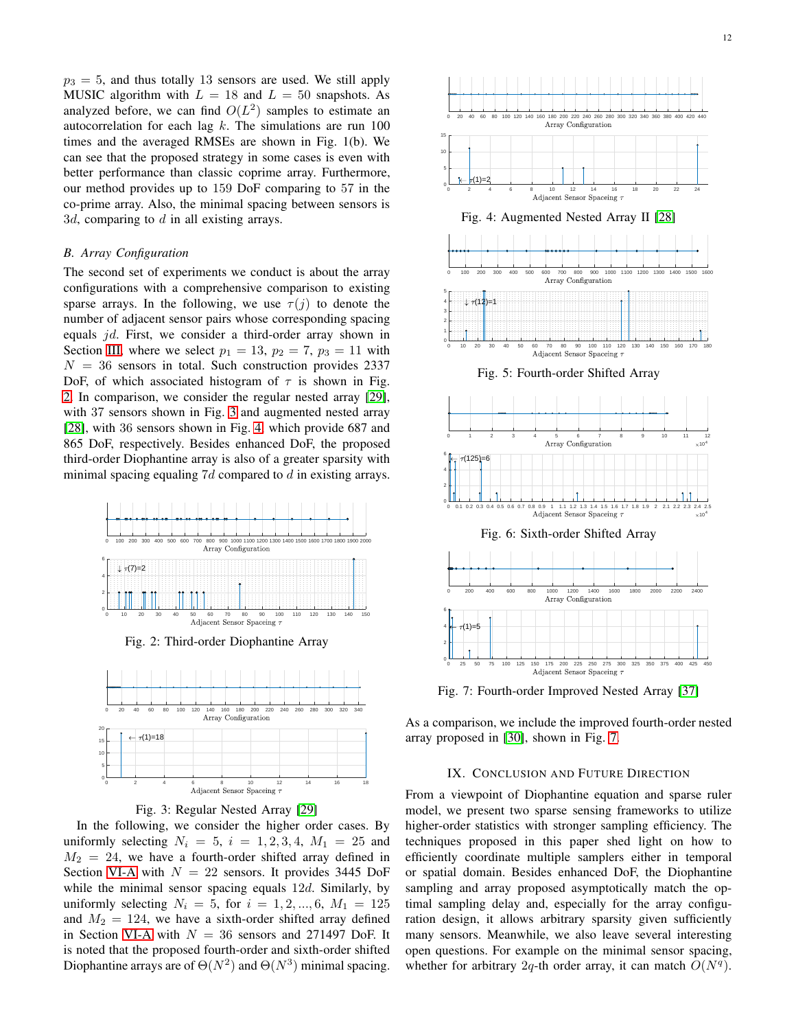$p_3 = 5$ , and thus totally 13 sensors are used. We still apply MUSIC algorithm with  $L = 18$  and  $L = 50$  snapshots. As analyzed before, we can find  $O(L^2)$  samples to estimate an autocorrelation for each lag  $k$ . The simulations are run 100 times and the averaged RMSEs are shown in Fig. 1(b). We can see that the proposed strategy in some cases is even with better performance than classic coprime array. Furthermore, our method provides up to 159 DoF comparing to 57 in the co-prime array. Also, the minimal spacing between sensors is 3d, comparing to  $d$  in all existing arrays.

## *B. Array Configuration*

The second set of experiments we conduct is about the array configurations with a comprehensive comparison to existing sparse arrays. In the following, we use  $\tau(j)$  to denote the number of adjacent sensor pairs whose corresponding spacing equals jd. First, we consider a third-order array shown in Section [III,](#page-4-1) where we select  $p_1 = 13$ ,  $p_2 = 7$ ,  $p_3 = 11$  with  $N = 36$  sensors in total. Such construction provides 2337 DoF, of which associated histogram of  $\tau$  is shown in Fig. [2.](#page-11-0) In comparison, we consider the regular nested array [\[29\]](#page-12-28), with [3](#page-11-1)7 sensors shown in Fig. 3 and augmented nested array [\[28\]](#page-12-27), with 36 sensors shown in Fig. [4,](#page-11-2) which provide 687 and 865 DoF, respectively. Besides enhanced DoF, the proposed third-order Diophantine array is also of a greater sparsity with minimal spacing equaling  $7d$  compared to  $d$  in existing arrays.

<span id="page-11-0"></span>

<span id="page-11-1"></span>



In the following, we consider the higher order cases. By uniformly selecting  $N_i = 5$ ,  $i = 1, 2, 3, 4$ ,  $M_1 = 25$  and  $M_2 = 24$ , we have a fourth-order shifted array defined in Section [VI-A](#page-8-0) with  $N = 22$  sensors. It provides 3445 DoF while the minimal sensor spacing equals  $12d$ . Similarly, by uniformly selecting  $N_i = 5$ , for  $i = 1, 2, ..., 6$ ,  $M_1 = 125$ and  $M_2 = 124$ , we have a sixth-order shifted array defined in Section [VI-A](#page-8-0) with  $N = 36$  sensors and 271497 DoF. It is noted that the proposed fourth-order and sixth-order shifted Diophantine arrays are of  $\Theta(N^2)$  and  $\Theta(N^3)$  minimal spacing.

<span id="page-11-2"></span>

<span id="page-11-3"></span>Fig. 7: Fourth-order Improved Nested Array [\[37\]](#page-12-36)

As a comparison, we include the improved fourth-order nested array proposed in [\[30\]](#page-12-29), shown in Fig. [7.](#page-11-3)

# IX. CONCLUSION AND FUTURE DIRECTION

From a viewpoint of Diophantine equation and sparse ruler model, we present two sparse sensing frameworks to utilize higher-order statistics with stronger sampling efficiency. The techniques proposed in this paper shed light on how to efficiently coordinate multiple samplers either in temporal or spatial domain. Besides enhanced DoF, the Diophantine sampling and array proposed asymptotically match the optimal sampling delay and, especially for the array configuration design, it allows arbitrary sparsity given sufficiently many sensors. Meanwhile, we also leave several interesting open questions. For example on the minimal sensor spacing, whether for arbitrary 2q-th order array, it can match  $O(N<sup>q</sup>)$ .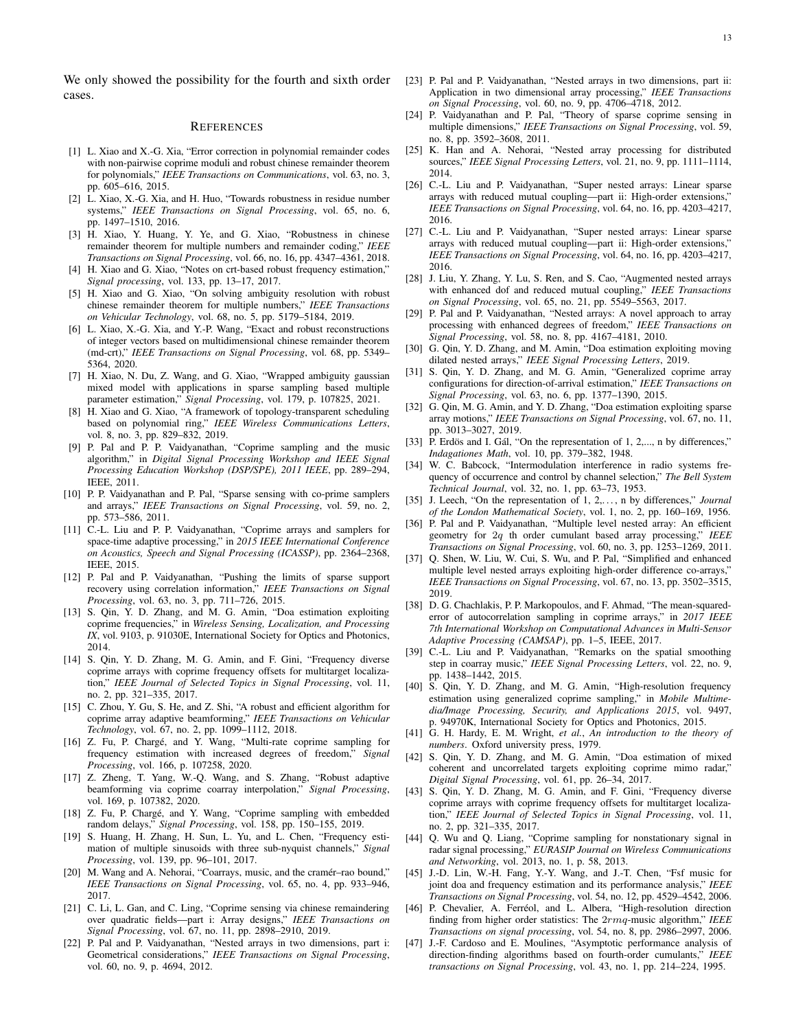We only showed the possibility for the fourth and sixth order cases.

#### **REFERENCES**

- <span id="page-12-0"></span>[1] L. Xiao and X.-G. Xia, "Error correction in polynomial remainder codes with non-pairwise coprime moduli and robust chinese remainder theorem for polynomials," *IEEE Transactions on Communications*, vol. 63, no. 3, pp. 605–616, 2015.
- <span id="page-12-1"></span>[2] L. Xiao, X.-G. Xia, and H. Huo, "Towards robustness in residue number systems," *IEEE Transactions on Signal Processing*, vol. 65, no. 6, pp. 1497–1510, 2016.
- <span id="page-12-2"></span>[3] H. Xiao, Y. Huang, Y. Ye, and G. Xiao, "Robustness in chinese remainder theorem for multiple numbers and remainder coding," *IEEE Transactions on Signal Processing*, vol. 66, no. 16, pp. 4347–4361, 2018.
- <span id="page-12-3"></span>[4] H. Xiao and G. Xiao, "Notes on crt-based robust frequency estimation," *Signal processing*, vol. 133, pp. 13–17, 2017.
- <span id="page-12-4"></span>[5] H. Xiao and G. Xiao, "On solving ambiguity resolution with robust chinese remainder theorem for multiple numbers," *IEEE Transactions on Vehicular Technology*, vol. 68, no. 5, pp. 5179–5184, 2019.
- <span id="page-12-5"></span>[6] L. Xiao, X.-G. Xia, and Y.-P. Wang, "Exact and robust reconstructions of integer vectors based on multidimensional chinese remainder theorem (md-crt)," *IEEE Transactions on Signal Processing*, vol. 68, pp. 5349– 5364, 2020.
- <span id="page-12-6"></span>[7] H. Xiao, N. Du, Z. Wang, and G. Xiao, "Wrapped ambiguity gaussian mixed model with applications in sparse sampling based multiple parameter estimation," *Signal Processing*, vol. 179, p. 107825, 2021.
- <span id="page-12-7"></span>[8] H. Xiao and G. Xiao, "A framework of topology-transparent scheduling based on polynomial ring," *IEEE Wireless Communications Letters*, vol. 8, no. 3, pp. 829–832, 2019.
- <span id="page-12-8"></span>[9] P. Pal and P. P. Vaidyanathan, "Coprime sampling and the music algorithm," in *Digital Signal Processing Workshop and IEEE Signal Processing Education Workshop (DSP/SPE), 2011 IEEE*, pp. 289–294, IEEE, 2011.
- <span id="page-12-9"></span>[10] P. P. Vaidyanathan and P. Pal, "Sparse sensing with co-prime samplers and arrays," *IEEE Transactions on Signal Processing*, vol. 59, no. 2, pp. 573–586, 2011.
- <span id="page-12-10"></span>[11] C.-L. Liu and P. P. Vaidyanathan, "Coprime arrays and samplers for space-time adaptive processing," in *2015 IEEE International Conference on Acoustics, Speech and Signal Processing (ICASSP)*, pp. 2364–2368, IEEE, 2015.
- <span id="page-12-11"></span>[12] P. Pal and P. Vaidyanathan, "Pushing the limits of sparse support recovery using correlation information," *IEEE Transactions on Signal Processing*, vol. 63, no. 3, pp. 711–726, 2015.
- <span id="page-12-12"></span>[13] S. Qin, Y. D. Zhang, and M. G. Amin, "Doa estimation exploiting coprime frequencies," in *Wireless Sensing, Localization, and Processing IX*, vol. 9103, p. 91030E, International Society for Optics and Photonics, 2014.
- <span id="page-12-13"></span>[14] S. Qin, Y. D. Zhang, M. G. Amin, and F. Gini, "Frequency diverse coprime arrays with coprime frequency offsets for multitarget localization," *IEEE Journal of Selected Topics in Signal Processing*, vol. 11, no. 2, pp. 321–335, 2017.
- <span id="page-12-14"></span>[15] C. Zhou, Y. Gu, S. He, and Z. Shi, "A robust and efficient algorithm for coprime array adaptive beamforming," *IEEE Transactions on Vehicular Technology*, vol. 67, no. 2, pp. 1099–1112, 2018.
- <span id="page-12-15"></span>[16] Z. Fu, P. Chargé, and Y. Wang, "Multi-rate coprime sampling for frequency estimation with increased degrees of freedom," *Signal Processing*, vol. 166, p. 107258, 2020.
- <span id="page-12-16"></span>[17] Z. Zheng, T. Yang, W.-Q. Wang, and S. Zhang, "Robust adaptive beamforming via coprime coarray interpolation," *Signal Processing*, vol. 169, p. 107382, 2020.
- <span id="page-12-17"></span>[18] Z. Fu, P. Chargé, and Y. Wang, "Coprime sampling with embedded random delays," *Signal Processing*, vol. 158, pp. 150–155, 2019.
- <span id="page-12-18"></span>[19] S. Huang, H. Zhang, H. Sun, L. Yu, and L. Chen, "Frequency estimation of multiple sinusoids with three sub-nyquist channels," *Signal Processing*, vol. 139, pp. 96–101, 2017.
- <span id="page-12-19"></span>[20] M. Wang and A. Nehorai, "Coarrays, music, and the cramér–rao bound," *IEEE Transactions on Signal Processing*, vol. 65, no. 4, pp. 933–946, 2017.
- <span id="page-12-20"></span>[21] C. Li, L. Gan, and C. Ling, "Coprime sensing via chinese remaindering over quadratic fields—part i: Array designs," *IEEE Transactions on Signal Processing*, vol. 67, no. 11, pp. 2898–2910, 2019.
- <span id="page-12-21"></span>[22] P. Pal and P. Vaidyanathan, "Nested arrays in two dimensions, part i: Geometrical considerations," *IEEE Transactions on Signal Processing*, vol. 60, no. 9, p. 4694, 2012.
- <span id="page-12-22"></span>[23] P. Pal and P. Vaidyanathan, "Nested arrays in two dimensions, part ii: Application in two dimensional array processing," *IEEE Transactions on Signal Processing*, vol. 60, no. 9, pp. 4706–4718, 2012.
- <span id="page-12-23"></span>[24] P. Vaidyanathan and P. Pal, "Theory of sparse coprime sensing in multiple dimensions," *IEEE Transactions on Signal Processing*, vol. 59, no. 8, pp. 3592–3608, 2011.
- <span id="page-12-24"></span>[25] K. Han and A. Nehorai, "Nested array processing for distributed sources," *IEEE Signal Processing Letters*, vol. 21, no. 9, pp. 1111–1114, 2014.
- <span id="page-12-25"></span>[26] C.-L. Liu and P. Vaidyanathan, "Super nested arrays: Linear sparse arrays with reduced mutual coupling—part ii: High-order extensions," *IEEE Transactions on Signal Processing*, vol. 64, no. 16, pp. 4203–4217, 2016.
- <span id="page-12-26"></span>[27] C.-L. Liu and P. Vaidyanathan, "Super nested arrays: Linear sparse arrays with reduced mutual coupling—part ii: High-order extensions," *IEEE Transactions on Signal Processing*, vol. 64, no. 16, pp. 4203–4217, 2016.
- <span id="page-12-27"></span>[28] J. Liu, Y. Zhang, Y. Lu, S. Ren, and S. Cao, "Augmented nested arrays with enhanced dof and reduced mutual coupling," *IEEE Transactions on Signal Processing*, vol. 65, no. 21, pp. 5549–5563, 2017.
- <span id="page-12-28"></span>[29] P. Pal and P. Vaidyanathan, "Nested arrays: A novel approach to array processing with enhanced degrees of freedom," *IEEE Transactions on Signal Processing*, vol. 58, no. 8, pp. 4167–4181, 2010.
- <span id="page-12-29"></span>[30] G. Qin, Y. D. Zhang, and M. Amin, "Doa estimation exploiting moving dilated nested arrays," *IEEE Signal Processing Letters*, 2019.
- <span id="page-12-32"></span>[31] S. Qin, Y. D. Zhang, and M. G. Amin, "Generalized coprime array configurations for direction-of-arrival estimation," *IEEE Transactions on Signal Processing*, vol. 63, no. 6, pp. 1377–1390, 2015.
- <span id="page-12-33"></span>[32] G. Qin, M. G. Amin, and Y. D. Zhang, "Doa estimation exploiting sparse array motions," *IEEE Transactions on Signal Processing*, vol. 67, no. 11, pp. 3013–3027, 2019.
- <span id="page-12-30"></span>[33] P. Erdös and I. Gál, "On the representation of 1, 2,..., n by differences," *Indagationes Math*, vol. 10, pp. 379–382, 1948.
- <span id="page-12-34"></span>[34] W. C. Babcock, "Intermodulation interference in radio systems frequency of occurrence and control by channel selection," *The Bell System Technical Journal*, vol. 32, no. 1, pp. 63–73, 1953.
- <span id="page-12-31"></span>[35] J. Leech, "On the representation of 1, 2,. . . , n by differences," *Journal of the London Mathematical Society*, vol. 1, no. 2, pp. 160–169, 1956.
- <span id="page-12-35"></span>[36] P. Pal and P. Vaidyanathan, "Multiple level nested array: An efficient geometry for 2q th order cumulant based array processing," *IEEE Transactions on Signal Processing*, vol. 60, no. 3, pp. 1253–1269, 2011.
- <span id="page-12-36"></span>[37] Q. Shen, W. Liu, W. Cui, S. Wu, and P. Pal, "Simplified and enhanced multiple level nested arrays exploiting high-order difference co-arrays," *IEEE Transactions on Signal Processing*, vol. 67, no. 13, pp. 3502–3515, 2019.
- <span id="page-12-37"></span>[38] D. G. Chachlakis, P. P. Markopoulos, and F. Ahmad, "The mean-squarederror of autocorrelation sampling in coprime arrays," in *2017 IEEE 7th International Workshop on Computational Advances in Multi-Sensor Adaptive Processing (CAMSAP)*, pp. 1–5, IEEE, 2017.
- <span id="page-12-38"></span>[39] C.-L. Liu and P. Vaidyanathan, "Remarks on the spatial smoothing step in coarray music," *IEEE Signal Processing Letters*, vol. 22, no. 9, pp. 1438–1442, 2015.
- <span id="page-12-39"></span>[40] S. Qin, Y. D. Zhang, and M. G. Amin, "High-resolution frequency estimation using generalized coprime sampling," in *Mobile Multimedia/Image Processing, Security, and Applications 2015*, vol. 9497, p. 94970K, International Society for Optics and Photonics, 2015.
- <span id="page-12-40"></span>[41] G. H. Hardy, E. M. Wright, *et al.*, *An introduction to the theory of numbers*. Oxford university press, 1979.
- <span id="page-12-41"></span>[42] S. Qin, Y. D. Zhang, and M. G. Amin, "Doa estimation of mixed coherent and uncorrelated targets exploiting coprime mimo radar," *Digital Signal Processing*, vol. 61, pp. 26–34, 2017.
- <span id="page-12-42"></span>[43] S. Qin, Y. D. Zhang, M. G. Amin, and F. Gini, "Frequency diverse coprime arrays with coprime frequency offsets for multitarget localization," *IEEE Journal of Selected Topics in Signal Processing*, vol. 11, no. 2, pp. 321–335, 2017.
- <span id="page-12-43"></span>[44] Q. Wu and Q. Liang, "Coprime sampling for nonstationary signal in radar signal processing," *EURASIP Journal on Wireless Communications and Networking*, vol. 2013, no. 1, p. 58, 2013.
- <span id="page-12-44"></span>[45] J.-D. Lin, W.-H. Fang, Y.-Y. Wang, and J.-T. Chen, "Fsf music for joint doa and frequency estimation and its performance analysis," *IEEE Transactions on Signal Processing*, vol. 54, no. 12, pp. 4529–4542, 2006.
- <span id="page-12-45"></span>[46] P. Chevalier, A. Ferréol, and L. Albera, "High-resolution direction finding from higher order statistics: The 2rmq-music algorithm," *IEEE Transactions on signal processing*, vol. 54, no. 8, pp. 2986–2997, 2006.
- <span id="page-12-46"></span>[47] J.-F. Cardoso and E. Moulines, "Asymptotic performance analysis of direction-finding algorithms based on fourth-order cumulants," *IEEE transactions on Signal Processing*, vol. 43, no. 1, pp. 214–224, 1995.